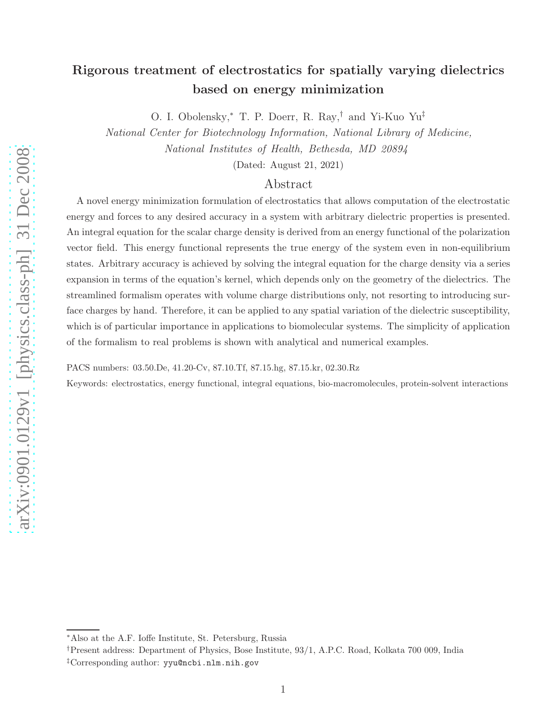O. I. Obolensky,<sup>∗</sup> T. P. Doerr, R. Ray,† and Yi-Kuo Yu‡

National Center for Biotechnology Information, National Library of Medicine,

National Institutes of Health, Bethesda, MD 20894

(Dated: August 21, 2021)

## Abstract

A novel energy minimization formulation of electrostatics that allows computation of the electrostatic energy and forces to any desired accuracy in a system with arbitrary dielectric properties is presented. An integral equation for the scalar charge density is derived from an energy functional of the polarization vector field. This energy functional represents the true energy of the system even in non-equilibrium states. Arbitrary accuracy is achieved by solving the integral equation for the charge density via a series expansion in terms of the equation's kernel, which depends only on the geometry of the dielectrics. The streamlined formalism operates with volume charge distributions only, not resorting to introducing surface charges by hand. Therefore, it can be applied to any spatial variation of the dielectric susceptibility, which is of particular importance in applications to biomolecular systems. The simplicity of application of the formalism to real problems is shown with analytical and numerical examples.

PACS numbers: 03.50.De, 41.20-Cv, 87.10.Tf, 87.15.hg, 87.15.kr, 02.30.Rz

Keywords: electrostatics, energy functional, integral equations, bio-macromolecules, protein-solvent interactions

<sup>∗</sup>Also at the A.F. Ioffe Institute, St. Petersburg, Russia

<sup>†</sup>Present address: Department of Physics, Bose Institute, 93/1, A.P.C. Road, Kolkata 700 009, India

<sup>‡</sup>Corresponding author: yyu@ncbi.nlm.nih.gov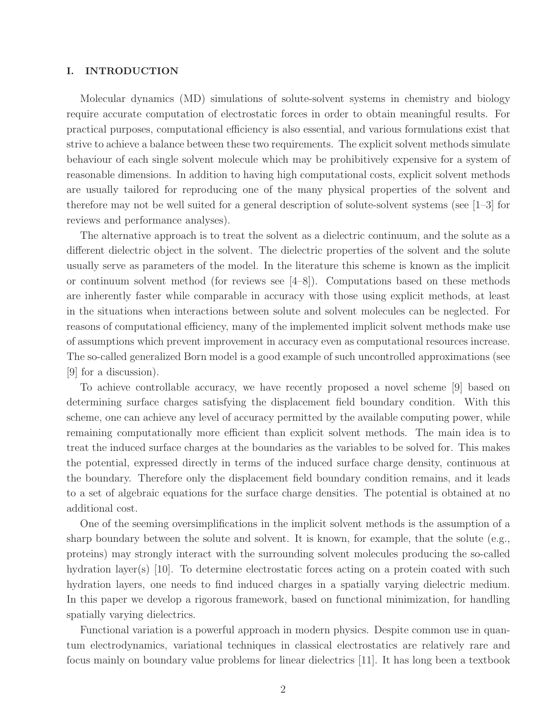## I. INTRODUCTION

Molecular dynamics (MD) simulations of solute-solvent systems in chemistry and biology require accurate computation of electrostatic forces in order to obtain meaningful results. For practical purposes, computational efficiency is also essential, and various formulations exist that strive to achieve a balance between these two requirements. The explicit solvent methods simulate behaviour of each single solvent molecule which may be prohibitively expensive for a system of reasonable dimensions. In addition to having high computational costs, explicit solvent methods are usually tailored for reproducing one of the many physical properties of the solvent and therefore may not be well suited for a general description of solute-solvent systems (see [1–3] for reviews and performance analyses).

The alternative approach is to treat the solvent as a dielectric continuum, and the solute as a different dielectric object in the solvent. The dielectric properties of the solvent and the solute usually serve as parameters of the model. In the literature this scheme is known as the implicit or continuum solvent method (for reviews see  $[4-8]$ ). Computations based on these methods are inherently faster while comparable in accuracy with those using explicit methods, at least in the situations when interactions between solute and solvent molecules can be neglected. For reasons of computational efficiency, many of the implemented implicit solvent methods make use of assumptions which prevent improvement in accuracy even as computational resources increase. The so-called generalized Born model is a good example of such uncontrolled approximations (see [9] for a discussion).

To achieve controllable accuracy, we have recently proposed a novel scheme [9] based on determining surface charges satisfying the displacement field boundary condition. With this scheme, one can achieve any level of accuracy permitted by the available computing power, while remaining computationally more efficient than explicit solvent methods. The main idea is to treat the induced surface charges at the boundaries as the variables to be solved for. This makes the potential, expressed directly in terms of the induced surface charge density, continuous at the boundary. Therefore only the displacement field boundary condition remains, and it leads to a set of algebraic equations for the surface charge densities. The potential is obtained at no additional cost.

One of the seeming oversimplifications in the implicit solvent methods is the assumption of a sharp boundary between the solute and solvent. It is known, for example, that the solute  $(e.g.,)$ proteins) may strongly interact with the surrounding solvent molecules producing the so-called hydration layer(s) [10]. To determine electrostatic forces acting on a protein coated with such hydration layers, one needs to find induced charges in a spatially varying dielectric medium. In this paper we develop a rigorous framework, based on functional minimization, for handling spatially varying dielectrics.

Functional variation is a powerful approach in modern physics. Despite common use in quantum electrodynamics, variational techniques in classical electrostatics are relatively rare and focus mainly on boundary value problems for linear dielectrics [11]. It has long been a textbook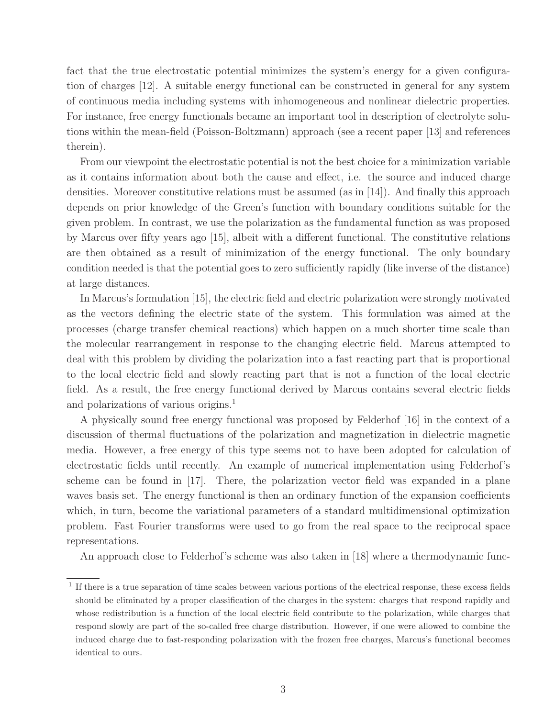fact that the true electrostatic potential minimizes the system's energy for a given configuration of charges [12]. A suitable energy functional can be constructed in general for any system of continuous media including systems with inhomogeneous and nonlinear dielectric properties. For instance, free energy functionals became an important tool in description of electrolyte solutions within the mean-field (Poisson-Boltzmann) approach (see a recent paper [13] and references therein).

From our viewpoint the electrostatic potential is not the best choice for a minimization variable as it contains information about both the cause and effect, i.e. the source and induced charge densities. Moreover constitutive relations must be assumed (as in [14]). And finally this approach depends on prior knowledge of the Green's function with boundary conditions suitable for the given problem. In contrast, we use the polarization as the fundamental function as was proposed by Marcus over fifty years ago [15], albeit with a different functional. The constitutive relations are then obtained as a result of minimization of the energy functional. The only boundary condition needed is that the potential goes to zero sufficiently rapidly (like inverse of the distance) at large distances.

In Marcus's formulation [15], the electric field and electric polarization were strongly motivated as the vectors defining the electric state of the system. This formulation was aimed at the processes (charge transfer chemical reactions) which happen on a much shorter time scale than the molecular rearrangement in response to the changing electric field. Marcus attempted to deal with this problem by dividing the polarization into a fast reacting part that is proportional to the local electric field and slowly reacting part that is not a function of the local electric field. As a result, the free energy functional derived by Marcus contains several electric fields and polarizations of various origins.<sup>1</sup>

A physically sound free energy functional was proposed by Felderhof [16] in the context of a discussion of thermal fluctuations of the polarization and magnetization in dielectric magnetic media. However, a free energy of this type seems not to have been adopted for calculation of electrostatic fields until recently. An example of numerical implementation using Felderhof's scheme can be found in [17]. There, the polarization vector field was expanded in a plane waves basis set. The energy functional is then an ordinary function of the expansion coefficients which, in turn, become the variational parameters of a standard multidimensional optimization problem. Fast Fourier transforms were used to go from the real space to the reciprocal space representations.

An approach close to Felderhof's scheme was also taken in [18] where a thermodynamic func-

<sup>&</sup>lt;sup>1</sup> If there is a true separation of time scales between various portions of the electrical response, these excess fields should be eliminated by a proper classification of the charges in the system: charges that respond rapidly and whose redistribution is a function of the local electric field contribute to the polarization, while charges that respond slowly are part of the so-called free charge distribution. However, if one were allowed to combine the induced charge due to fast-responding polarization with the frozen free charges, Marcus's functional becomes identical to ours.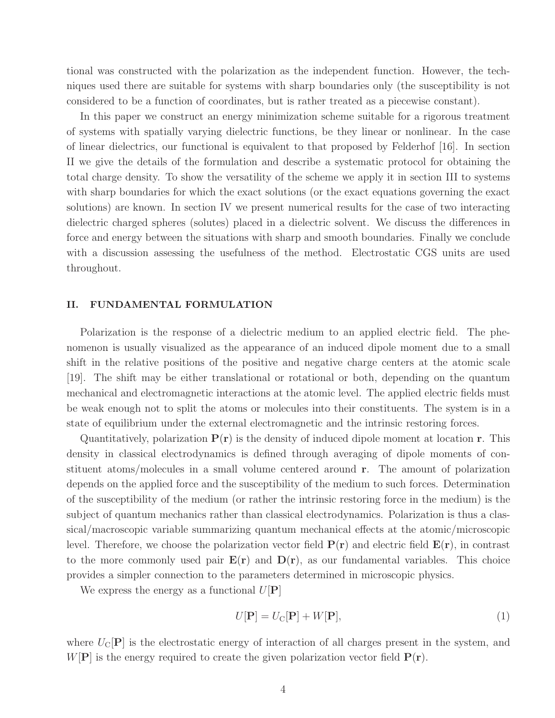tional was constructed with the polarization as the independent function. However, the techniques used there are suitable for systems with sharp boundaries only (the susceptibility is not considered to be a function of coordinates, but is rather treated as a piecewise constant).

In this paper we construct an energy minimization scheme suitable for a rigorous treatment of systems with spatially varying dielectric functions, be they linear or nonlinear. In the case of linear dielectrics, our functional is equivalent to that proposed by Felderhof [16]. In section II we give the details of the formulation and describe a systematic protocol for obtaining the total charge density. To show the versatility of the scheme we apply it in section III to systems with sharp boundaries for which the exact solutions (or the exact equations governing the exact solutions) are known. In section IV we present numerical results for the case of two interacting dielectric charged spheres (solutes) placed in a dielectric solvent. We discuss the differences in force and energy between the situations with sharp and smooth boundaries. Finally we conclude with a discussion assessing the usefulness of the method. Electrostatic CGS units are used throughout.

## II. FUNDAMENTAL FORMULATION

Polarization is the response of a dielectric medium to an applied electric field. The phenomenon is usually visualized as the appearance of an induced dipole moment due to a small shift in the relative positions of the positive and negative charge centers at the atomic scale [19]. The shift may be either translational or rotational or both, depending on the quantum mechanical and electromagnetic interactions at the atomic level. The applied electric fields must be weak enough not to split the atoms or molecules into their constituents. The system is in a state of equilibrium under the external electromagnetic and the intrinsic restoring forces.

Quantitatively, polarization  $P(r)$  is the density of induced dipole moment at location r. This density in classical electrodynamics is defined through averaging of dipole moments of constituent atoms/molecules in a small volume centered around r. The amount of polarization depends on the applied force and the susceptibility of the medium to such forces. Determination of the susceptibility of the medium (or rather the intrinsic restoring force in the medium) is the subject of quantum mechanics rather than classical electrodynamics. Polarization is thus a classical/macroscopic variable summarizing quantum mechanical effects at the atomic/microscopic level. Therefore, we choose the polarization vector field  $P(r)$  and electric field  $E(r)$ , in contrast to the more commonly used pair  $E(r)$  and  $D(r)$ , as our fundamental variables. This choice provides a simpler connection to the parameters determined in microscopic physics.

We express the energy as a functional  $U[\mathbf{P}]$ 

$$
U[\mathbf{P}] = U_{\rm C}[\mathbf{P}] + W[\mathbf{P}],\tag{1}
$$

where  $U_{\text{C}}[\textbf{P}]$  is the electrostatic energy of interaction of all charges present in the system, and  $W[\mathbf{P}]$  is the energy required to create the given polarization vector field  $P(\mathbf{r})$ .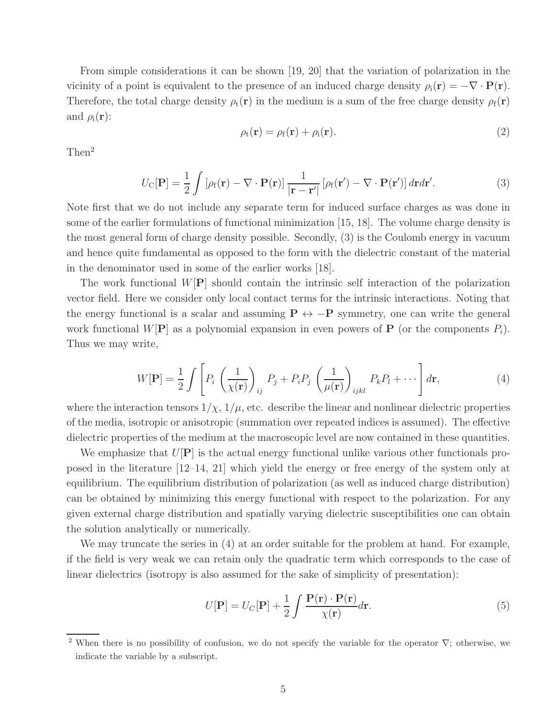From simple considerations it can be shown [19, 20] that the variation of polarization in the vicinity of a point is equivalent to the presence of an induced charge density  $\rho_i(\mathbf{r}) = -\nabla \cdot \mathbf{P}(\mathbf{r})$ . Therefore, the total charge density  $\rho_t(\mathbf{r})$  in the medium is a sum of the free charge density  $\rho_f(\mathbf{r})$ and  $\rho_i(\mathbf{r})$ :

$$
\rho_{t}(\mathbf{r}) = \rho_{f}(\mathbf{r}) + \rho_{i}(\mathbf{r}). \tag{2}
$$

Then<sup>2</sup>

$$
U_{\mathcal{C}}[\mathbf{P}] = \frac{1}{2} \int \left[ \rho_{\mathbf{f}}(\mathbf{r}) - \nabla \cdot \mathbf{P}(\mathbf{r}) \right] \frac{1}{|\mathbf{r} - \mathbf{r}'|} \left[ \rho_{\mathbf{f}}(\mathbf{r}') - \nabla \cdot \mathbf{P}(\mathbf{r}') \right] d\mathbf{r} d\mathbf{r}'. \tag{3}
$$

Note first that we do not include any separate term for induced surface charges as was done in some of the earlier formulations of functional minimization [15, 18]. The volume charge density is the most general form of charge density possible. Secondly, (3) is the Coulomb energy in vacuum and hence quite fundamental as opposed to the form with the dielectric constant of the material in the denominator used in some of the earlier works [18].

The work functional  $W[\mathbf{P}]$  should contain the intrinsic self interaction of the polarization vector field. Here we consider only local contact terms for the intrinsic interactions. Noting that the energy functional is a scalar and assuming  $P \leftrightarrow -P$  symmetry, one can write the general work functional  $W[\mathbf{P}]$  as a polynomial expansion in even powers of **P** (or the components  $P_i$ ). Thus we may write,

$$
W[\mathbf{P}] = \frac{1}{2} \int \left[ P_i \left( \frac{1}{\chi(\mathbf{r})} \right)_{ij} P_j + P_i P_j \left( \frac{1}{\mu(\mathbf{r})} \right)_{ijkl} P_k P_l + \cdots \right] d\mathbf{r}, \tag{4}
$$

where the interaction tensors  $1/\chi$ ,  $1/\mu$ , etc. describe the linear and nonlinear dielectric properties of the media, isotropic or anisotropic (summation over repeated indices is assumed). The effective dielectric properties of the medium at the macroscopic level are now contained in these quantities.

We emphasize that  $U[P]$  is the actual energy functional unlike various other functionals proposed in the literature [12–14, 21] which yield the energy or free energy of the system only at equilibrium. The equilibrium distribution of polarization (as well as induced charge distribution) can be obtained by minimizing this energy functional with respect to the polarization. For any given external charge distribution and spatially varying dielectric susceptibilities one can obtain the solution analytically or numerically.

We may truncate the series in (4) at an order suitable for the problem at hand. For example, if the field is very weak we can retain only the quadratic term which corresponds to the case of linear dielectrics (isotropy is also assumed for the sake of simplicity of presentation):

$$
U[\mathbf{P}] = U_C[\mathbf{P}] + \frac{1}{2} \int \frac{\mathbf{P}(\mathbf{r}) \cdot \mathbf{P}(\mathbf{r})}{\chi(\mathbf{r})} d\mathbf{r}.
$$
 (5)

<sup>&</sup>lt;sup>2</sup> When there is no possibility of confusion, we do not specify the variable for the operator  $\nabla$ ; otherwise, we indicate the variable by a subscript.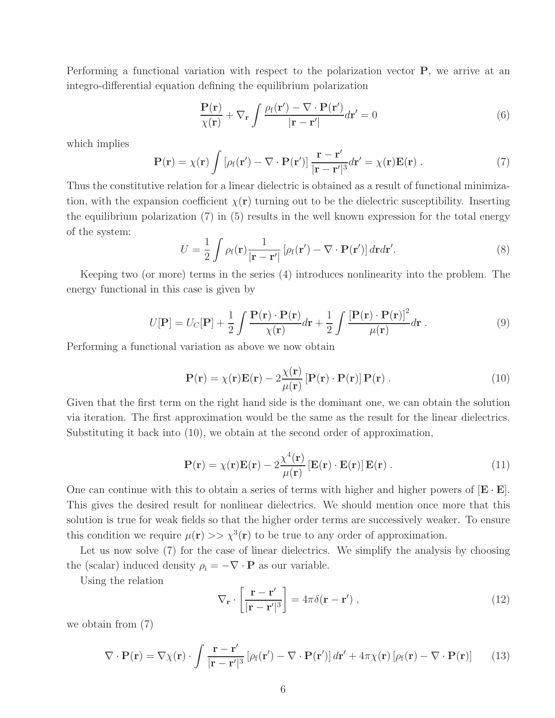Performing a functional variation with respect to the polarization vector P, we arrive at an integro-differential equation defining the equilibrium polarization

$$
\frac{\mathbf{P}(\mathbf{r})}{\chi(\mathbf{r})} + \nabla_{\mathbf{r}} \int \frac{\rho_{\rm f}(\mathbf{r}') - \nabla \cdot \mathbf{P}(\mathbf{r}')}{|\mathbf{r} - \mathbf{r}'|} d\mathbf{r}' = 0
$$
\n(6)

which implies

$$
\mathbf{P}(\mathbf{r}) = \chi(\mathbf{r}) \int \left[ \rho_f(\mathbf{r}') - \nabla \cdot \mathbf{P}(\mathbf{r}') \right] \frac{\mathbf{r} - \mathbf{r}'}{|\mathbf{r} - \mathbf{r}'|^3} d\mathbf{r}' = \chi(\mathbf{r}) \mathbf{E}(\mathbf{r}) \ . \tag{7}
$$

Thus the constitutive relation for a linear dielectric is obtained as a result of functional minimization, with the expansion coefficient  $\chi(\mathbf{r})$  turning out to be the dielectric susceptibility. Inserting the equilibrium polarization (7) in (5) results in the well known expression for the total energy of the system:

$$
U = \frac{1}{2} \int \rho_f(\mathbf{r}) \frac{1}{|\mathbf{r} - \mathbf{r}'|} \left[ \rho_f(\mathbf{r}') - \nabla \cdot \mathbf{P}(\mathbf{r}') \right] d\mathbf{r} d\mathbf{r}'. \tag{8}
$$

Keeping two (or more) terms in the series (4) introduces nonlinearity into the problem. The energy functional in this case is given by

$$
U[\mathbf{P}] = U_C[\mathbf{P}] + \frac{1}{2} \int \frac{\mathbf{P}(\mathbf{r}) \cdot \mathbf{P}(\mathbf{r})}{\chi(\mathbf{r})} d\mathbf{r} + \frac{1}{2} \int \frac{\left[\mathbf{P}(\mathbf{r}) \cdot \mathbf{P}(\mathbf{r})\right]^2}{\mu(\mathbf{r})} d\mathbf{r} . \tag{9}
$$

Performing a functional variation as above we now obtain

$$
\mathbf{P}(\mathbf{r}) = \chi(\mathbf{r})\mathbf{E}(\mathbf{r}) - 2\frac{\chi(\mathbf{r})}{\mu(\mathbf{r})} \left[\mathbf{P}(\mathbf{r}) \cdot \mathbf{P}(\mathbf{r})\right] \mathbf{P}(\mathbf{r}) . \tag{10}
$$

Given that the first term on the right hand side is the dominant one, we can obtain the solution via iteration. The first approximation would be the same as the result for the linear dielectrics. Substituting it back into (10), we obtain at the second order of approximation,

$$
\mathbf{P}(\mathbf{r}) = \chi(\mathbf{r})\mathbf{E}(\mathbf{r}) - 2\frac{\chi^4(\mathbf{r})}{\mu(\mathbf{r})} \left[\mathbf{E}(\mathbf{r}) \cdot \mathbf{E}(\mathbf{r})\right] \mathbf{E}(\mathbf{r}) . \tag{11}
$$

One can continue with this to obtain a series of terms with higher and higher powers of  $[\mathbf{E} \cdot \mathbf{E}]$ . This gives the desired result for nonlinear dielectrics. We should mention once more that this solution is true for weak fields so that the higher order terms are successively weaker. To ensure this condition we require  $\mu(\mathbf{r}) >> \chi^3(\mathbf{r})$  to be true to any order of approximation.

Let us now solve (7) for the case of linear dielectrics. We simplify the analysis by choosing the (scalar) induced density  $\rho_i = -\nabla \cdot \mathbf{P}$  as our variable.

Using the relation

$$
\nabla_{\mathbf{r}} \cdot \left[ \frac{\mathbf{r} - \mathbf{r}'}{|\mathbf{r} - \mathbf{r}'|^3} \right] = 4\pi \delta(\mathbf{r} - \mathbf{r}') , \qquad (12)
$$

we obtain from (7)

$$
\nabla \cdot \mathbf{P}(\mathbf{r}) = \nabla \chi(\mathbf{r}) \cdot \int \frac{\mathbf{r} - \mathbf{r}'}{|\mathbf{r} - \mathbf{r}'|^3} \left[ \rho_f(\mathbf{r}') - \nabla \cdot \mathbf{P}(\mathbf{r}') \right] d\mathbf{r}' + 4\pi \chi(\mathbf{r}) \left[ \rho_f(\mathbf{r}) - \nabla \cdot \mathbf{P}(\mathbf{r}) \right] \tag{13}
$$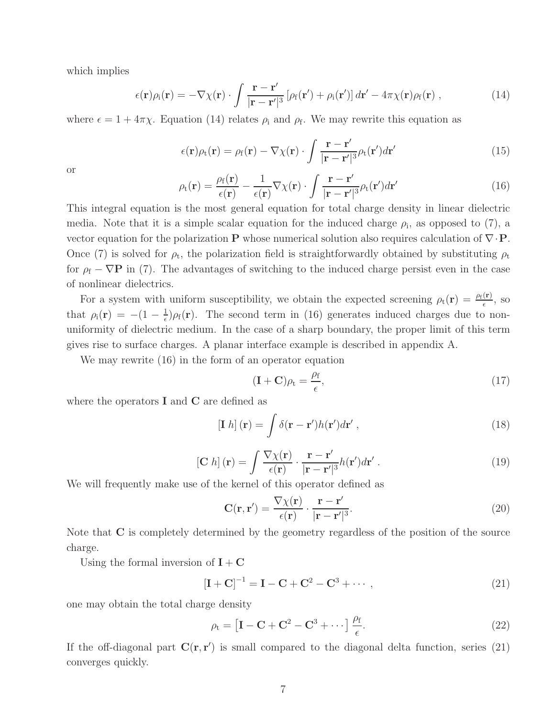which implies

$$
\epsilon(\mathbf{r})\rho_{i}(\mathbf{r}) = -\nabla\chi(\mathbf{r}) \cdot \int \frac{\mathbf{r} - \mathbf{r}'}{|\mathbf{r} - \mathbf{r}'|^3} \left[ \rho_{f}(\mathbf{r}') + \rho_{i}(\mathbf{r}') \right] d\mathbf{r}' - 4\pi\chi(\mathbf{r})\rho_{f}(\mathbf{r}) , \qquad (14)
$$

where  $\epsilon = 1 + 4\pi\chi$ . Equation (14) relates  $\rho_i$  and  $\rho_f$ . We may rewrite this equation as

$$
\epsilon(\mathbf{r})\rho_{t}(\mathbf{r}) = \rho_{f}(\mathbf{r}) - \nabla\chi(\mathbf{r}) \cdot \int \frac{\mathbf{r} - \mathbf{r}'}{|\mathbf{r} - \mathbf{r}'|^3} \rho_{t}(\mathbf{r}') d\mathbf{r}'
$$
(15)

or

$$
\rho_{t}(\mathbf{r}) = \frac{\rho_{f}(\mathbf{r})}{\epsilon(\mathbf{r})} - \frac{1}{\epsilon(\mathbf{r})} \nabla \chi(\mathbf{r}) \cdot \int \frac{\mathbf{r} - \mathbf{r}'}{|\mathbf{r} - \mathbf{r}'|^3} \rho_{t}(\mathbf{r}') d\mathbf{r}'
$$
\n(16)

This integral equation is the most general equation for total charge density in linear dielectric media. Note that it is a simple scalar equation for the induced charge  $\rho_i$ , as opposed to (7), a vector equation for the polarization P whose numerical solution also requires calculation of  $\nabla \cdot \mathbf{P}$ . Once (7) is solved for  $\rho_t$ , the polarization field is straightforwardly obtained by substituting  $\rho_t$ for  $\rho_f - \nabla P$  in (7). The advantages of switching to the induced charge persist even in the case of nonlinear dielectrics.

For a system with uniform susceptibility, we obtain the expected screening  $\rho_t(\mathbf{r}) = \frac{\rho_f(\mathbf{r})}{\epsilon}$ , so that  $\rho_i(\mathbf{r}) = -(1 - \frac{1}{\epsilon})$  $\frac{1}{\epsilon}$ ) $\rho_f(\mathbf{r})$ . The second term in (16) generates induced charges due to nonuniformity of dielectric medium. In the case of a sharp boundary, the proper limit of this term gives rise to surface charges. A planar interface example is described in appendix A.

We may rewrite (16) in the form of an operator equation

$$
(\mathbf{I} + \mathbf{C})\rho_{t} = \frac{\rho_{f}}{\epsilon},\tag{17}
$$

where the operators  $\bf{I}$  and  $\bf{C}$  are defined as

$$
\left[\mathbf{I} \; h\right](\mathbf{r}) = \int \delta(\mathbf{r} - \mathbf{r}') h(\mathbf{r}') d\mathbf{r}' \,, \tag{18}
$$

$$
\begin{aligned} \left[\mathbf{C} \ h\right](\mathbf{r}) &= \int \frac{\nabla \chi(\mathbf{r})}{\epsilon(\mathbf{r})} \cdot \frac{\mathbf{r} - \mathbf{r}'}{|\mathbf{r} - \mathbf{r}'|^3} h(\mathbf{r}') d\mathbf{r}' \,. \end{aligned} \tag{19}
$$

We will frequently make use of the kernel of this operator defined as

$$
\mathbf{C}(\mathbf{r}, \mathbf{r}') = \frac{\nabla \chi(\mathbf{r})}{\epsilon(\mathbf{r})} \cdot \frac{\mathbf{r} - \mathbf{r}'}{|\mathbf{r} - \mathbf{r}'|^3}.
$$
 (20)

Note that C is completely determined by the geometry regardless of the position of the source charge.

Using the formal inversion of  $\mathbf{I} + \mathbf{C}$ 

$$
[I + C]^{-1} = I - C + C^2 - C^3 + \cdots,
$$
\n(21)

one may obtain the total charge density

$$
\rho_{t} = \left[ I - C + C^{2} - C^{3} + \cdots \right] \frac{\rho_{f}}{\epsilon}.
$$
\n(22)

If the off-diagonal part  $C(r, r')$  is small compared to the diagonal delta function, series (21) converges quickly.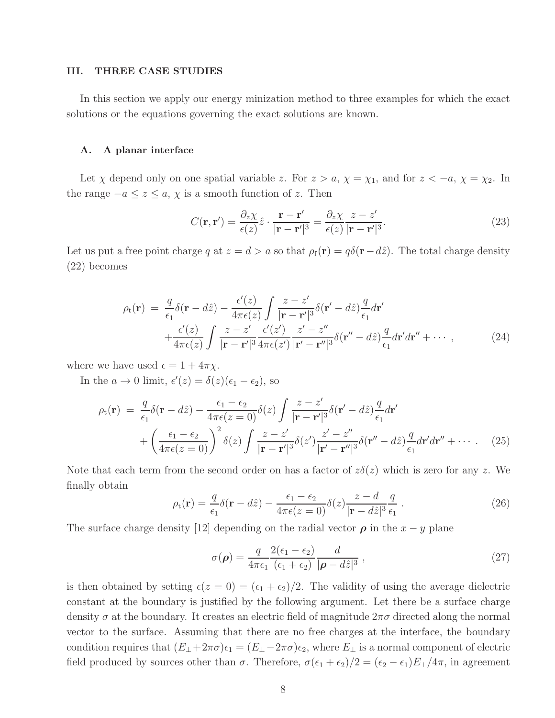### III. THREE CASE STUDIES

In this section we apply our energy minization method to three examples for which the exact solutions or the equations governing the exact solutions are known.

#### A. A planar interface

Let  $\chi$  depend only on one spatial variable z. For  $z > a$ ,  $\chi = \chi_1$ , and for  $z < -a$ ,  $\chi = \chi_2$ . In the range  $-a \leq z \leq a$ ,  $\chi$  is a smooth function of z. Then

$$
C(\mathbf{r}, \mathbf{r}') = \frac{\partial_z \chi}{\epsilon(z)} \hat{z} \cdot \frac{\mathbf{r} - \mathbf{r}'}{|\mathbf{r} - \mathbf{r}'|^3} = \frac{\partial_z \chi}{\epsilon(z)} \frac{z - z'}{|\mathbf{r} - \mathbf{r}'|^3}.
$$
 (23)

Let us put a free point charge q at  $z = d > a$  so that  $\rho_f(\mathbf{r}) = q\delta(\mathbf{r} - d\hat{z})$ . The total charge density (22) becomes

$$
\rho_t(\mathbf{r}) = \frac{q}{\epsilon_1} \delta(\mathbf{r} - d\hat{z}) - \frac{\epsilon'(z)}{4\pi\epsilon(z)} \int \frac{z - z'}{|\mathbf{r} - \mathbf{r}'|^3} \delta(\mathbf{r}' - d\hat{z}) \frac{q}{\epsilon_1} d\mathbf{r}' + \frac{\epsilon'(z)}{4\pi\epsilon(z)} \int \frac{z - z'}{|\mathbf{r} - \mathbf{r}'|^3} \frac{\epsilon'(z')}{4\pi\epsilon(z')} \frac{z' - z''}{|\mathbf{r}' - \mathbf{r}''|^3} \delta(\mathbf{r}'' - d\hat{z}) \frac{q}{\epsilon_1} d\mathbf{r}' d\mathbf{r}'' + \cdots, \qquad (24)
$$

where we have used  $\epsilon = 1 + 4\pi \chi$ .

In the  $a \to 0$  limit,  $\epsilon'(z) = \delta(z)(\epsilon_1 - \epsilon_2)$ , so

$$
\rho_{t}(\mathbf{r}) = \frac{q}{\epsilon_{1}} \delta(\mathbf{r} - d\hat{z}) - \frac{\epsilon_{1} - \epsilon_{2}}{4\pi\epsilon(z=0)} \delta(z) \int \frac{z-z'}{|\mathbf{r} - \mathbf{r}'|^{3}} \delta(\mathbf{r}' - d\hat{z}) \frac{q}{\epsilon_{1}} d\mathbf{r}'
$$

$$
+ \left(\frac{\epsilon_{1} - \epsilon_{2}}{4\pi\epsilon(z=0)}\right)^{2} \delta(z) \int \frac{z-z'}{|\mathbf{r} - \mathbf{r}'|^{3}} \delta(z') \frac{z'-z''}{|\mathbf{r}' - \mathbf{r}''|^{3}} \delta(\mathbf{r}'' - d\hat{z}) \frac{q}{\epsilon_{1}} d\mathbf{r}' d\mathbf{r}'' + \cdots \qquad (25)
$$

Note that each term from the second order on has a factor of  $z\delta(z)$  which is zero for any z. We finally obtain

$$
\rho_{t}(\mathbf{r}) = \frac{q}{\epsilon_{1}} \delta(\mathbf{r} - d\hat{z}) - \frac{\epsilon_{1} - \epsilon_{2}}{4\pi\epsilon(z=0)} \delta(z) \frac{z-d}{|\mathbf{r} - d\hat{z}|^{3}} \frac{q}{\epsilon_{1}}.
$$
\n(26)

The surface charge density [12] depending on the radial vector  $\rho$  in the  $x - y$  plane

$$
\sigma(\rho) = \frac{q}{4\pi\epsilon_1} \frac{2(\epsilon_1 - \epsilon_2)}{(\epsilon_1 + \epsilon_2)} \frac{d}{|\rho - d\hat{z}|^3},\tag{27}
$$

is then obtained by setting  $\epsilon(z = 0) = (\epsilon_1 + \epsilon_2)/2$ . The validity of using the average dielectric constant at the boundary is justified by the following argument. Let there be a surface charge density  $\sigma$  at the boundary. It creates an electric field of magnitude  $2\pi\sigma$  directed along the normal vector to the surface. Assuming that there are no free charges at the interface, the boundary condition requires that  $(E_{\perp} + 2\pi\sigma)\epsilon_1 = (E_{\perp} - 2\pi\sigma)\epsilon_2$ , where  $E_{\perp}$  is a normal component of electric field produced by sources other than  $\sigma$ . Therefore,  $\sigma(\epsilon_1 + \epsilon_2)/2 = (\epsilon_2 - \epsilon_1)E_{\perp}/4\pi$ , in agreement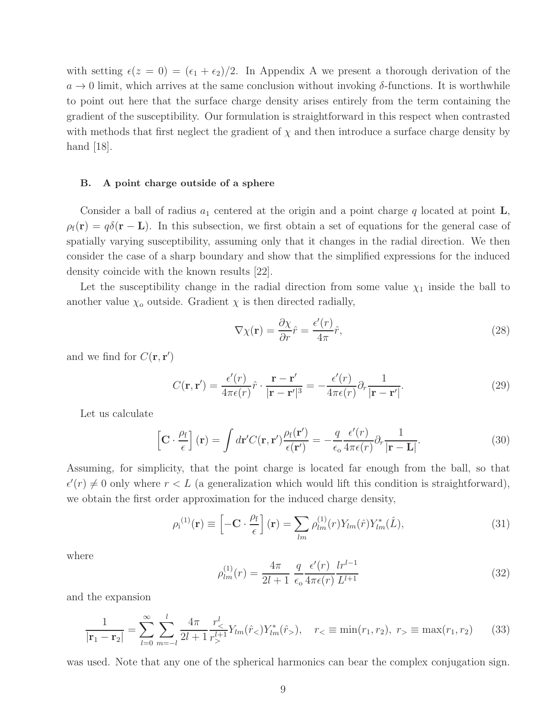with setting  $\epsilon(z = 0) = (\epsilon_1 + \epsilon_2)/2$ . In Appendix A we present a thorough derivation of the  $a \to 0$  limit, which arrives at the same conclusion without invoking  $\delta$ -functions. It is worthwhile to point out here that the surface charge density arises entirely from the term containing the gradient of the susceptibility. Our formulation is straightforward in this respect when contrasted with methods that first neglect the gradient of  $\chi$  and then introduce a surface charge density by hand  $|18|$ .

#### B. A point charge outside of a sphere

Consider a ball of radius  $a_1$  centered at the origin and a point charge q located at point  $\mathbf{L}$ ,  $\rho_f(\mathbf{r}) = q\delta(\mathbf{r} - \mathbf{L})$ . In this subsection, we first obtain a set of equations for the general case of spatially varying susceptibility, assuming only that it changes in the radial direction. We then consider the case of a sharp boundary and show that the simplified expressions for the induced density coincide with the known results [22].

Let the susceptibility change in the radial direction from some value  $\chi_1$  inside the ball to another value  $\chi_0$  outside. Gradient  $\chi$  is then directed radially,

$$
\nabla \chi(\mathbf{r}) = \frac{\partial \chi}{\partial r} \hat{r} = \frac{\epsilon'(r)}{4\pi} \hat{r},\tag{28}
$$

and we find for  $C(\mathbf{r}, \mathbf{r}')$ 

$$
C(\mathbf{r}, \mathbf{r}') = \frac{\epsilon'(r)}{4\pi\epsilon(r)}\hat{r} \cdot \frac{\mathbf{r} - \mathbf{r}'}{|\mathbf{r} - \mathbf{r}'|^3} = -\frac{\epsilon'(r)}{4\pi\epsilon(r)}\partial_r \frac{1}{|\mathbf{r} - \mathbf{r}'|}.
$$
(29)

Let us calculate

$$
\left[\mathbf{C} \cdot \frac{\rho_{\rm f}}{\epsilon}\right](\mathbf{r}) = \int d\mathbf{r}' C(\mathbf{r}, \mathbf{r}') \frac{\rho_{\rm f}(\mathbf{r}')}{\epsilon(\mathbf{r}')} = -\frac{q}{\epsilon_0} \frac{\epsilon'(r)}{4\pi\epsilon(r)} \partial_r \frac{1}{|\mathbf{r} - \mathbf{L}|}.
$$
(30)

Assuming, for simplicity, that the point charge is located far enough from the ball, so that  $\epsilon'(r) \neq 0$  only where  $r < L$  (a generalization which would lift this condition is straightforward), we obtain the first order approximation for the induced charge density,

$$
\rho_{\rm i}^{(1)}(\mathbf{r}) \equiv \left[ -\mathbf{C} \cdot \frac{\rho_{\rm f}}{\epsilon} \right](\mathbf{r}) = \sum_{lm} \rho_{lm}^{(1)}(r) Y_{lm}(\hat{r}) Y_{lm}^*(\hat{L}), \tag{31}
$$

where

$$
\rho_{lm}^{(1)}(r) = \frac{4\pi}{2l+1} \frac{q}{\epsilon_0} \frac{\epsilon'(r)}{4\pi\epsilon(r)} \frac{l r^{l-1}}{L^{l+1}} \tag{32}
$$

and the expansion

$$
\frac{1}{|\mathbf{r}_1 - \mathbf{r}_2|} = \sum_{l=0}^{\infty} \sum_{m=-l}^{l} \frac{4\pi}{2l+1} \frac{r_<^l}{r_>^{l+1}} Y_{lm}(\hat{r}_<) Y_{lm}^*(\hat{r}_>), \quad r_< \equiv \min(r_1, r_2), \ r_> \equiv \max(r_1, r_2) \tag{33}
$$

was used. Note that any one of the spherical harmonics can bear the complex conjugation sign.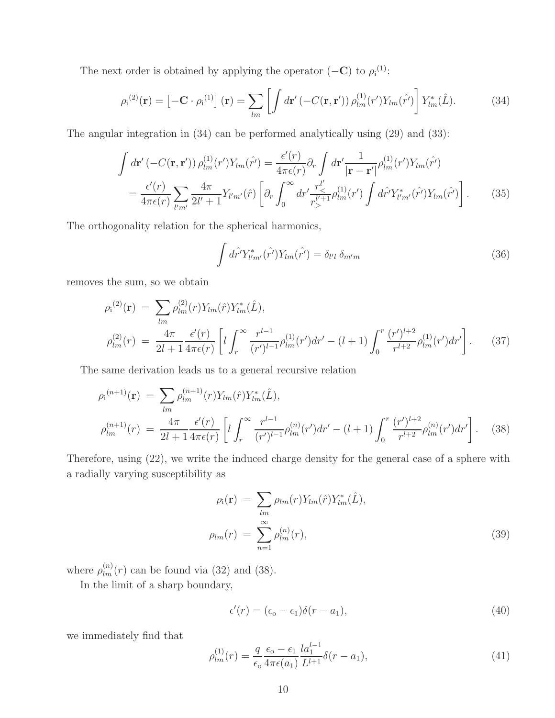The next order is obtained by applying the operator  $(-\mathbf{C})$  to  $\rho_i^{(1)}$ :

$$
\rho_{\mathrm{i}}^{(2)}(\mathbf{r}) = \left[ -\mathbf{C} \cdot \rho_{\mathrm{i}}^{(1)} \right](\mathbf{r}) = \sum_{lm} \left[ \int d\mathbf{r}' \left( -C(\mathbf{r}, \mathbf{r}') \right) \rho_{lm}^{(1)}(\mathbf{r}') Y_{lm}(\hat{\mathbf{r}'}) \right] Y_{lm}^*(\hat{L}). \tag{34}
$$

The angular integration in (34) can be performed analytically using (29) and (33):

$$
\int d\mathbf{r}' \left( -C(\mathbf{r}, \mathbf{r}') \right) \rho_{lm}^{(1)}(r') Y_{lm}(\hat{r}') = \frac{\epsilon'(r)}{4\pi\epsilon(r)} \partial_r \int d\mathbf{r}' \frac{1}{|\mathbf{r} - \mathbf{r}'|} \rho_{lm}^{(1)}(r') Y_{lm}(\hat{r}') \n= \frac{\epsilon'(r)}{4\pi\epsilon(r)} \sum_{l'm'} \frac{4\pi}{2l' + 1} Y_{l'm'}(\hat{r}) \left[ \partial_r \int_0^\infty dr' \frac{r_{\leq}^{l'}}{r_{>}^{l'+1}} \rho_{lm}^{(1)}(r') \int d\hat{r}' Y_{l'm'}^*(\hat{r}') Y_{lm}(\hat{r}') \right].
$$
\n(35)

The orthogonality relation for the spherical harmonics,

$$
\int d\hat{r}^{\prime} Y_{l^{\prime}m^{\prime}}^{*}(\hat{r}^{\prime}) Y_{lm}(\hat{r}^{\prime}) = \delta_{l^{\prime}l} \, \delta_{m^{\prime}m} \tag{36}
$$

removes the sum, so we obtain

$$
\rho_{i}^{(2)}(\mathbf{r}) = \sum_{lm} \rho_{lm}^{(2)}(r) Y_{lm}(\hat{r}) Y_{lm}^*(\hat{L}),
$$
\n
$$
\rho_{lm}^{(2)}(r) = \frac{4\pi}{2l+1} \frac{\epsilon'(r)}{4\pi\epsilon(r)} \left[ l \int_r^{\infty} \frac{r^{l-1}}{(r')^{l-1}} \rho_{lm}^{(1)}(r') dr' - (l+1) \int_0^r \frac{(r')^{l+2}}{r^{l+2}} \rho_{lm}^{(1)}(r') dr' \right].
$$
\n(37)

The same derivation leads us to a general recursive relation

$$
\rho_{i}^{(n+1)}(\mathbf{r}) = \sum_{lm} \rho_{lm}^{(n+1)}(r) Y_{lm}(\hat{r}) Y_{lm}^*(\hat{L}),
$$
\n
$$
\rho_{lm}^{(n+1)}(r) = \frac{4\pi}{2l+1} \frac{\epsilon'(r)}{4\pi\epsilon(r)} \left[ l \int_r^{\infty} \frac{r^{l-1}}{(r')^{l-1}} \rho_{lm}^{(n)}(r') dr' - (l+1) \int_0^r \frac{(r')^{l+2}}{r^{l+2}} \rho_{lm}^{(n)}(r') dr' \right].
$$
\n(38)

Therefore, using (22), we write the induced charge density for the general case of a sphere with a radially varying susceptibility as

$$
\rho_{\rm i}(\mathbf{r}) = \sum_{lm} \rho_{lm}(r) Y_{lm}(\hat{r}) Y_{lm}^*(\hat{L}),
$$
  

$$
\rho_{lm}(r) = \sum_{n=1}^{\infty} \rho_{lm}^{(n)}(r),
$$
 (39)

where  $\rho_{lm}^{(n)}(r)$  can be found via (32) and (38).

In the limit of a sharp boundary,

$$
\epsilon'(r) = (\epsilon_{\rm o} - \epsilon_1)\delta(r - a_1),\tag{40}
$$

we immediately find that

$$
\rho_{lm}^{(1)}(r) = \frac{q}{\epsilon_0} \frac{\epsilon_0 - \epsilon_1}{4\pi\epsilon(a_1)} \frac{l a_1^{l-1}}{L^{l+1}} \delta(r - a_1),\tag{41}
$$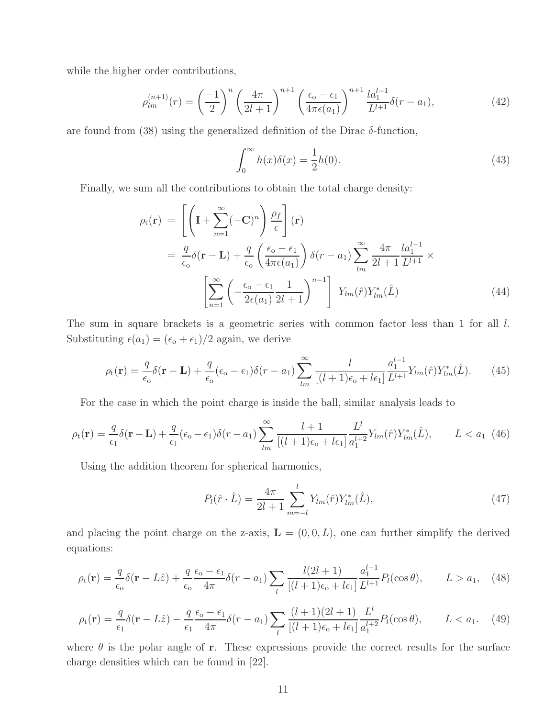while the higher order contributions,

$$
\rho_{lm}^{(n+1)}(r) = \left(\frac{-1}{2}\right)^n \left(\frac{4\pi}{2l+1}\right)^{n+1} \left(\frac{\epsilon_0 - \epsilon_1}{4\pi\epsilon(a_1)}\right)^{n+1} \frac{l a_1^{l-1}}{L^{l+1}} \delta(r - a_1),\tag{42}
$$

are found from (38) using the generalized definition of the Dirac  $\delta$ -function,

$$
\int_0^\infty h(x)\delta(x) = \frac{1}{2}h(0). \tag{43}
$$

Finally, we sum all the contributions to obtain the total charge density:

$$
\rho_{t}(\mathbf{r}) = \left[ \left( \mathbf{I} + \sum_{n=1}^{\infty} (-\mathbf{C})^{n} \right) \frac{\rho_{f}}{\epsilon} \right] (\mathbf{r})
$$
  
\n
$$
= \frac{q}{\epsilon_{0}} \delta(\mathbf{r} - \mathbf{L}) + \frac{q}{\epsilon_{0}} \left( \frac{\epsilon_{0} - \epsilon_{1}}{4\pi\epsilon(a_{1})} \right) \delta(r - a_{1}) \sum_{lm}^{\infty} \frac{4\pi}{2l + 1} \frac{l a_{1}^{l-1}}{L^{l+1}} \times \left[ \sum_{n=1}^{\infty} \left( -\frac{\epsilon_{0} - \epsilon_{1}}{2\epsilon(a_{1})} \frac{1}{2l + 1} \right)^{n-1} \right] Y_{lm}(\hat{r}) Y_{lm}^{*}(\hat{L}) \tag{44}
$$

The sum in square brackets is a geometric series with common factor less than 1 for all l. Substituting  $\epsilon(a_1) = (\epsilon_o + \epsilon_1)/2$  again, we derive

$$
\rho_{\rm t}(\mathbf{r}) = \frac{q}{\epsilon_{\rm o}} \delta(\mathbf{r} - \mathbf{L}) + \frac{q}{\epsilon_{\rm o}} (\epsilon_{\rm o} - \epsilon_1) \delta(r - a_1) \sum_{lm}^{\infty} \frac{l}{[(l+1)\epsilon_{\rm o} + l\epsilon_1]} \frac{a_1^{l-1}}{L^{l+1}} Y_{lm}(\hat{r}) Y_{lm}^*(\hat{L}). \tag{45}
$$

For the case in which the point charge is inside the ball, similar analysis leads to

$$
\rho_{t}(\mathbf{r}) = \frac{q}{\epsilon_{1}} \delta(\mathbf{r} - \mathbf{L}) + \frac{q}{\epsilon_{1}} (\epsilon_{0} - \epsilon_{1}) \delta(r - a_{1}) \sum_{lm}^{\infty} \frac{l + 1}{[(l + 1)\epsilon_{0} + l\epsilon_{1}]} \frac{L^{l}}{a_{1}^{l + 2}} Y_{lm}(\hat{r}) Y_{lm}^{*}(\hat{L}), \qquad L < a_{1} \tag{46}
$$

Using the addition theorem for spherical harmonics,

$$
P_l(\hat{r} \cdot \hat{L}) = \frac{4\pi}{2l+1} \sum_{m=-l}^{l} Y_{lm}(\hat{r}) Y_{lm}^*(\hat{L}), \qquad (47)
$$

and placing the point charge on the z-axis,  $\mathbf{L} = (0, 0, L)$ , one can further simplify the derived equations:

$$
\rho_t(\mathbf{r}) = \frac{q}{\epsilon_o} \delta(\mathbf{r} - L\hat{z}) + \frac{q}{\epsilon_o} \frac{\epsilon_o - \epsilon_1}{4\pi} \delta(r - a_1) \sum_l \frac{l(2l+1)}{[(l+1)\epsilon_o + l\epsilon_1]} \frac{a_1^{l-1}}{L^{l+1}} P_l(\cos\theta), \qquad L > a_1, \quad (48)
$$

$$
\rho_{t}(\mathbf{r}) = \frac{q}{\epsilon_{1}} \delta(\mathbf{r} - L\hat{z}) - \frac{q}{\epsilon_{1}} \frac{\epsilon_{o} - \epsilon_{1}}{4\pi} \delta(r - a_{1}) \sum_{l} \frac{(l+1)(2l+1)}{[(l+1)\epsilon_{o} + l\epsilon_{1}]} \frac{L^{l}}{a_{1}^{l+2}} P_{l}(\cos\theta), \qquad L < a_{1}.
$$
 (49)

where  $\theta$  is the polar angle of **r**. These expressions provide the correct results for the surface charge densities which can be found in [22].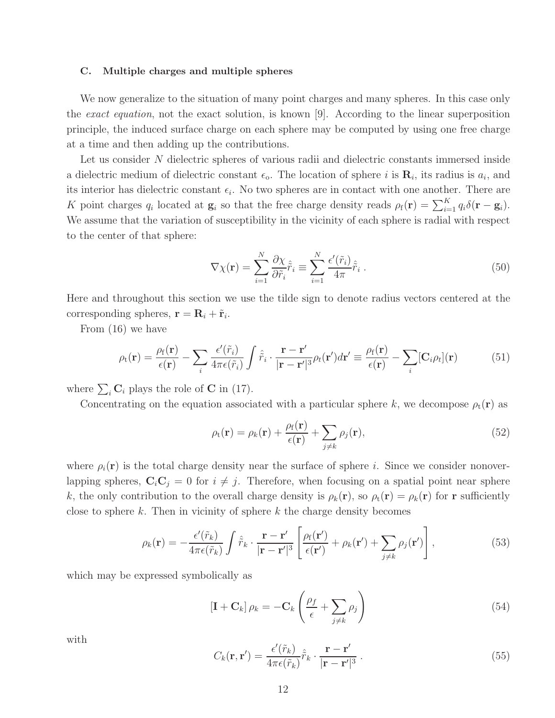#### C. Multiple charges and multiple spheres

We now generalize to the situation of many point charges and many spheres. In this case only the *exact equation*, not the exact solution, is known [9]. According to the linear superposition principle, the induced surface charge on each sphere may be computed by using one free charge at a time and then adding up the contributions.

Let us consider N dielectric spheres of various radii and dielectric constants immersed inside a dielectric medium of dielectric constant  $\epsilon_0$ . The location of sphere *i* is  $\mathbf{R}_i$ , its radius is  $a_i$ , and its interior has dielectric constant  $\epsilon_i$ . No two spheres are in contact with one another. There are K point charges  $q_i$  located at  $\mathbf{g}_i$  so that the free charge density reads  $\rho_f(\mathbf{r}) = \sum_{i=1}^K q_i \delta(\mathbf{r} - \mathbf{g}_i)$ . We assume that the variation of susceptibility in the vicinity of each sphere is radial with respect to the center of that sphere:

$$
\nabla \chi(\mathbf{r}) = \sum_{i=1}^{N} \frac{\partial \chi}{\partial \tilde{r}_i} \hat{\tilde{r}}_i \equiv \sum_{i=1}^{N} \frac{\epsilon'(\tilde{r}_i)}{4\pi} \hat{\tilde{r}}_i . \tag{50}
$$

Here and throughout this section we use the tilde sign to denote radius vectors centered at the corresponding spheres,  $\mathbf{r} = \mathbf{R}_i + \tilde{\mathbf{r}}_i$ .

From (16) we have

$$
\rho_{t}(\mathbf{r}) = \frac{\rho_{f}(\mathbf{r})}{\epsilon(\mathbf{r})} - \sum_{i} \frac{\epsilon'(\tilde{r}_{i})}{4\pi\epsilon(\tilde{r}_{i})} \int \hat{r}_{i} \cdot \frac{\mathbf{r} - \mathbf{r}'}{|\mathbf{r} - \mathbf{r}'|^{3}} \rho_{t}(\mathbf{r}') d\mathbf{r}' \equiv \frac{\rho_{f}(\mathbf{r})}{\epsilon(\mathbf{r})} - \sum_{i} [\mathbf{C}_{i}\rho_{t}](\mathbf{r}) \tag{51}
$$

where  $\sum_i \mathbf{C}_i$  plays the role of **C** in (17).

Concentrating on the equation associated with a particular sphere k, we decompose  $\rho_t(\mathbf{r})$  as

$$
\rho_{t}(\mathbf{r}) = \rho_{k}(\mathbf{r}) + \frac{\rho_{f}(\mathbf{r})}{\epsilon(\mathbf{r})} + \sum_{j \neq k} \rho_{j}(\mathbf{r}),
$$
\n(52)

where  $\rho_i(\mathbf{r})$  is the total charge density near the surface of sphere i. Since we consider nonoverlapping spheres,  $C_iC_j = 0$  for  $i \neq j$ . Therefore, when focusing on a spatial point near sphere k, the only contribution to the overall charge density is  $\rho_k(\mathbf{r})$ , so  $\rho_t(\mathbf{r}) = \rho_k(\mathbf{r})$  for **r** sufficiently close to sphere  $k$ . Then in vicinity of sphere  $k$  the charge density becomes

$$
\rho_k(\mathbf{r}) = -\frac{\epsilon'(\tilde{r}_k)}{4\pi\epsilon(\tilde{r}_k)} \int \hat{\tilde{r}}_k \cdot \frac{\mathbf{r} - \mathbf{r}'}{|\mathbf{r} - \mathbf{r}'|^3} \left[ \frac{\rho_f(\mathbf{r}')}{\epsilon(\mathbf{r}')} + \rho_k(\mathbf{r}') + \sum_{j \neq k} \rho_j(\mathbf{r}') \right],\tag{53}
$$

which may be expressed symbolically as

$$
\left[\mathbf{I} + \mathbf{C}_k\right] \rho_k = -\mathbf{C}_k \left(\frac{\rho_f}{\epsilon} + \sum_{j \neq k} \rho_j\right) \tag{54}
$$

with

$$
C_k(\mathbf{r}, \mathbf{r}') = \frac{\epsilon'(\tilde{r}_k)}{4\pi\epsilon(\tilde{r}_k)}\hat{\tilde{r}}_k \cdot \frac{\mathbf{r} - \mathbf{r}'}{|\mathbf{r} - \mathbf{r}'|^3} \,. \tag{55}
$$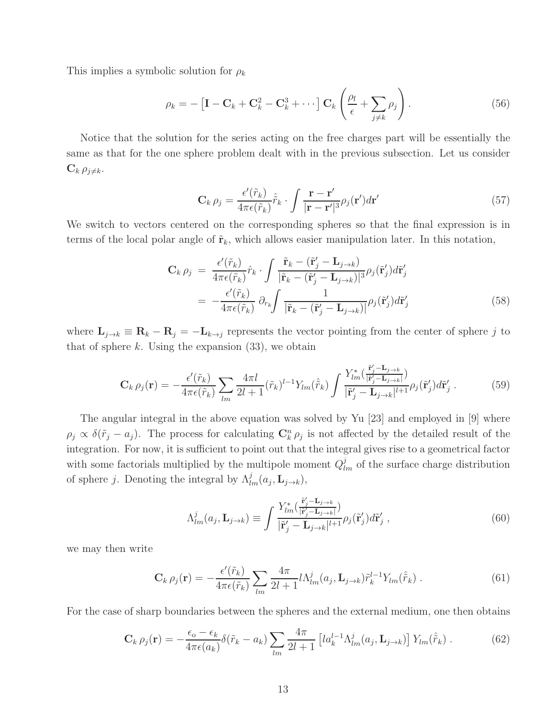This implies a symbolic solution for  $\rho_k$ 

$$
\rho_k = -\left[\mathbf{I} - \mathbf{C}_k + \mathbf{C}_k^2 - \mathbf{C}_k^3 + \cdots\right] \mathbf{C}_k \left(\frac{\rho_f}{\epsilon} + \sum_{j \neq k} \rho_j\right). \tag{56}
$$

Notice that the solution for the series acting on the free charges part will be essentially the same as that for the one sphere problem dealt with in the previous subsection. Let us consider  $C_k \rho_{j \neq k}$ .

$$
\mathbf{C}_{k} \rho_{j} = \frac{\epsilon'(\tilde{r}_{k})}{4\pi\epsilon(\tilde{r}_{k})}\hat{\tilde{r}}_{k} \cdot \int \frac{\mathbf{r} - \mathbf{r}'}{|\mathbf{r} - \mathbf{r}'|^{3}} \rho_{j}(\mathbf{r}') d\mathbf{r}' \qquad (57)
$$

We switch to vectors centered on the corresponding spheres so that the final expression is in terms of the local polar angle of  $\tilde{\mathbf{r}}_k$ , which allows easier manipulation later. In this notation,

$$
\mathbf{C}_{k} \rho_{j} = \frac{\epsilon'(\tilde{r}_{k})}{4\pi\epsilon(\tilde{r}_{k})}\hat{r}_{k} \cdot \int \frac{\tilde{\mathbf{r}}_{k} - (\tilde{\mathbf{r}}'_{j} - \mathbf{L}_{j \to k})}{|\tilde{\mathbf{r}}_{k} - (\tilde{\mathbf{r}}'_{j} - \mathbf{L}_{j \to k})|^{3}} \rho_{j}(\tilde{\mathbf{r}}'_{j}) d\tilde{\mathbf{r}}'_{j}
$$

$$
= -\frac{\epsilon'(\tilde{r}_{k})}{4\pi\epsilon(\tilde{r}_{k})} \partial_{r_{k}} \int \frac{1}{|\tilde{\mathbf{r}}_{k} - (\tilde{\mathbf{r}}'_{j} - \mathbf{L}_{j \to k})|} \rho_{j}(\tilde{\mathbf{r}}'_{j}) d\tilde{\mathbf{r}}'_{j}
$$
(58)

where  $\mathbf{L}_{j\to k} \equiv \mathbf{R}_k - \mathbf{R}_j = -\mathbf{L}_{k\to j}$  represents the vector pointing from the center of sphere j to that of sphere  $k$ . Using the expansion  $(33)$ , we obtain

$$
\mathbf{C}_{k}\,\rho_{j}(\mathbf{r}) = -\frac{\epsilon'(\tilde{r}_{k})}{4\pi\epsilon(\tilde{r}_{k})}\sum_{lm}\frac{4\pi l}{2l+1}(\tilde{r}_{k})^{l-1}Y_{lm}(\hat{\tilde{r}}_{k})\int\frac{Y_{lm}^{*}(\frac{\tilde{\mathbf{r}}'_{j}-\mathbf{L}_{j\rightarrow k}}{|\tilde{\mathbf{r}}'_{j}-\mathbf{L}_{j\rightarrow k}|^{l+1}}\rho_{j}(\tilde{\mathbf{r}}'_{j})d\tilde{\mathbf{r}}'_{j}.
$$
\n(59)

The angular integral in the above equation was solved by Yu [23] and employed in [9] where  $\rho_j \propto \delta(\tilde{r}_j - a_j)$ . The process for calculating  $\mathbb{C}_k^n \rho_j$  is not affected by the detailed result of the integration. For now, it is sufficient to point out that the integral gives rise to a geometrical factor with some factorials multiplied by the multipole moment  $Q_{lm}^j$  of the surface charge distribution of sphere *j*. Denoting the integral by  $\Lambda_{lm}^j(a_j, \mathbf{L}_{j \to k}),$ 

$$
\Lambda_{lm}^j(a_j, \mathbf{L}_{j \to k}) \equiv \int \frac{Y_{lm}^*(\frac{\tilde{\mathbf{r}}'_j - \mathbf{L}_{j \to k}}{|\tilde{\mathbf{r}}'_j - \mathbf{L}_{j \to k}|^l} \rho_j(\tilde{\mathbf{r}}'_j) d\tilde{\mathbf{r}}'_j ,\tag{60}
$$

we may then write

$$
\mathbf{C}_{k} \rho_{j}(\mathbf{r}) = -\frac{\epsilon'(\tilde{r}_{k})}{4\pi\epsilon(\tilde{r}_{k})} \sum_{lm} \frac{4\pi}{2l+1} l \Lambda_{lm}^{j}(a_{j}, \mathbf{L}_{j \to k}) \tilde{r}_{k}^{l-1} Y_{lm}(\hat{\tilde{r}}_{k}). \tag{61}
$$

For the case of sharp boundaries between the spheres and the external medium, one then obtains

$$
\mathbf{C}_{k} \rho_{j}(\mathbf{r}) = -\frac{\epsilon_{o} - \epsilon_{k}}{4\pi\epsilon(a_{k})} \delta(\tilde{r}_{k} - a_{k}) \sum_{lm} \frac{4\pi}{2l+1} \left[ l a_{k}^{l-1} \Lambda_{lm}^{j}(a_{j}, \mathbf{L}_{j \to k}) \right] Y_{lm}(\hat{\tilde{r}}_{k}). \tag{62}
$$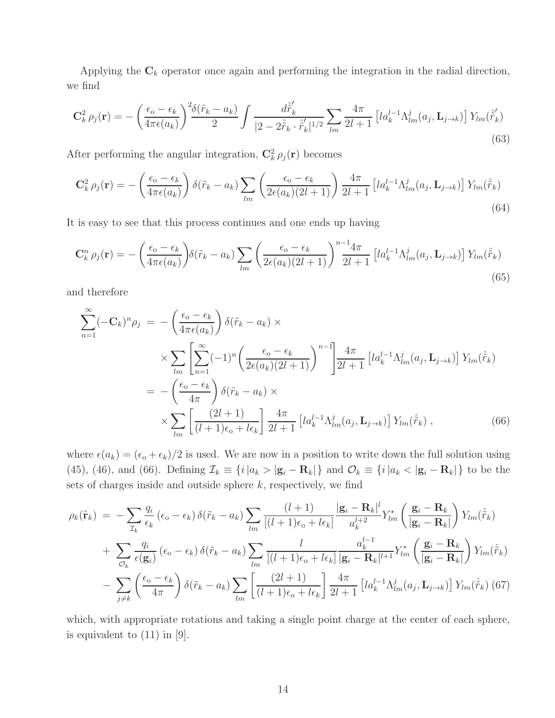Applying the  $C_k$  operator once again and performing the integration in the radial direction, we find

$$
\mathbf{C}_{k}^{2} \rho_{j}(\mathbf{r}) = -\left(\frac{\epsilon_{o} - \epsilon_{k}}{4\pi\epsilon(a_{k})}\right)^{2} \frac{\delta(\tilde{r}_{k} - a_{k})}{2} \int \frac{d\hat{\tilde{r}}'_{k}}{|2 - 2\hat{\tilde{r}}_{k} \cdot \hat{\tilde{r}}'_{k}|^{1/2}} \sum_{lm} \frac{4\pi}{2l + 1} \left[ l a_{k}^{l-1} \Lambda_{lm}^{j}(a_{j}, \mathbf{L}_{j \to k}) \right] Y_{lm}(\hat{\tilde{r}}'_{k})
$$
\n(63)

After performing the angular integration,  $\mathbf{C}_k^2 \rho_j(\mathbf{r})$  becomes

$$
\mathbf{C}_{k}^{2} \rho_{j}(\mathbf{r}) = -\left(\frac{\epsilon_{o} - \epsilon_{k}}{4\pi\epsilon(a_{k})}\right) \delta(\tilde{r}_{k} - a_{k}) \sum_{lm} \left(\frac{\epsilon_{o} - \epsilon_{k}}{2\epsilon(a_{k})(2l+1)}\right) \frac{4\pi}{2l+1} \left[la_{k}^{l-1} \Lambda_{lm}^{j}(a_{j}, \mathbf{L}_{j \to k})\right] Y_{lm}(\hat{\tilde{r}}_{k})
$$
\n(64)

It is easy to see that this process continues and one ends up having

$$
\mathbf{C}_{k}^{n} \rho_{j}(\mathbf{r}) = -\left(\frac{\epsilon_{o} - \epsilon_{k}}{4\pi\epsilon(a_{k})}\right) \delta(\tilde{r}_{k} - a_{k}) \sum_{lm} \left(\frac{\epsilon_{o} - \epsilon_{k}}{2\epsilon(a_{k})(2l+1)}\right)^{n-1} \frac{4\pi}{2l+1} \left[la_{k}^{l-1} \Lambda_{lm}^{j}(a_{j}, \mathbf{L}_{j \to k})\right] Y_{lm}(\hat{\tilde{r}}_{k})
$$
\n(65)

and therefore

$$
\sum_{n=1}^{\infty} (-\mathbf{C}_k)^n \rho_j = -\left(\frac{\epsilon_o - \epsilon_k}{4\pi\epsilon(a_k)}\right) \delta(\tilde{r}_k - a_k) \times \sum_{l m} \left[\sum_{n=1}^{\infty} (-1)^n \left(\frac{\epsilon_o - \epsilon_k}{2\epsilon(a_k)(2l+1)}\right)^{n-1}\right] \frac{4\pi}{2l+1} \left[ l a_k^{l-1} \Lambda_{lm}^j(a_j, \mathbf{L}_{j \to k}) \right] Y_{lm}(\hat{\tilde{r}}_k)
$$
  

$$
= -\left(\frac{\epsilon_o - \epsilon_k}{4\pi}\right) \delta(\tilde{r}_k - a_k) \times \sum_{l m} \left[\frac{(2l+1)}{(l+1)\epsilon_o + l\epsilon_k}\right] \frac{4\pi}{2l+1} \left[ l a_k^{l-1} \Lambda_{lm}^j(a_j, \mathbf{L}_{j \to k}) \right] Y_{lm}(\hat{\tilde{r}}_k) , \tag{66}
$$

where  $\epsilon(a_k) = (\epsilon_o + \epsilon_k)/2$  is used. We are now in a position to write down the full solution using (45), (46), and (66). Defining  $\mathcal{I}_k = \{i \mid a_k > |\mathbf{g}_i - \mathbf{R}_k| \}$  and  $\mathcal{O}_k \equiv \{i \mid a_k < |\mathbf{g}_i - \mathbf{R}_k| \}$  to be the sets of charges inside and outside sphere  $k$ , respectively, we find

$$
\rho_k(\tilde{\mathbf{r}}_k) = -\sum_{\mathcal{I}_k} \frac{q_i}{\epsilon_k} (\epsilon_o - \epsilon_k) \delta(\tilde{r}_k - a_k) \sum_{lm} \frac{(l+1)}{[(l+1)\epsilon_o + l\epsilon_k]} \frac{|\mathbf{g}_i - \mathbf{R}_k|^l}{a_k^{l+2}} Y_{lm}^* \left(\frac{\mathbf{g}_i - \mathbf{R}_k}{|\mathbf{g}_i - \mathbf{R}_k|}\right) Y_{lm}(\hat{\tilde{r}}_k)
$$
  
+ 
$$
\sum_{\mathcal{O}_k} \frac{q_i}{\epsilon(\mathbf{g}_i)} (\epsilon_o - \epsilon_k) \delta(\tilde{r}_k - a_k) \sum_{lm} \frac{l}{[(l+1)\epsilon_o + l\epsilon_k]} \frac{a_k^{l-1}}{|\mathbf{g}_i - \mathbf{R}_k|^{l+1}} Y_{lm}^* \left(\frac{\mathbf{g}_i - \mathbf{R}_k}{|\mathbf{g}_i - \mathbf{R}_k|}\right) Y_{lm}(\hat{\tilde{r}}_k)
$$
  
- 
$$
\sum_{j \neq k} \left(\frac{\epsilon_o - \epsilon_k}{4\pi}\right) \delta(\tilde{r}_k - a_k) \sum_{lm} \left[\frac{(2l+1)}{(l+1)\epsilon_o + l\epsilon_k}\right] \frac{4\pi}{2l+1} \left[l a_k^{l-1} \Lambda_{lm}^j(a_j, \mathbf{L}_{j \to k})\right] Y_{lm}(\hat{\tilde{r}}_k)
$$
(67)

which, with appropriate rotations and taking a single point charge at the center of each sphere, is equivalent to (11) in [9].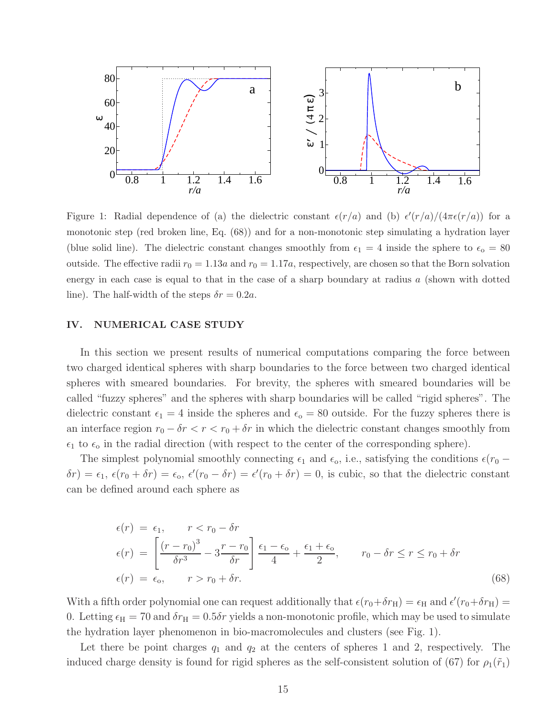

Figure 1: Radial dependence of (a) the dielectric constant  $\epsilon(r/a)$  and (b)  $\epsilon'(r/a)/(4\pi\epsilon(r/a))$  for a monotonic step (red broken line, Eq. (68)) and for a non-monotonic step simulating a hydration layer (blue solid line). The dielectric constant changes smoothly from  $\epsilon_1 = 4$  inside the sphere to  $\epsilon_0 = 80$ outside. The effective radii  $r_0 = 1.13a$  and  $r_0 = 1.17a$ , respectively, are chosen so that the Born solvation energy in each case is equal to that in the case of a sharp boundary at radius  $a$  (shown with dotted line). The half-width of the steps  $\delta r = 0.2a$ .

## IV. NUMERICAL CASE STUDY

In this section we present results of numerical computations comparing the force between two charged identical spheres with sharp boundaries to the force between two charged identical spheres with smeared boundaries. For brevity, the spheres with smeared boundaries will be called "fuzzy spheres" and the spheres with sharp boundaries will be called "rigid spheres". The dielectric constant  $\epsilon_1 = 4$  inside the spheres and  $\epsilon_0 = 80$  outside. For the fuzzy spheres there is an interface region  $r_0 - \delta r < r < r_0 + \delta r$  in which the dielectric constant changes smoothly from  $\epsilon_1$  to  $\epsilon_0$  in the radial direction (with respect to the center of the corresponding sphere).

The simplest polynomial smoothly connecting  $\epsilon_1$  and  $\epsilon_0$ , i.e., satisfying the conditions  $\epsilon(r_0 \delta r$ ) =  $\epsilon_1$ ,  $\epsilon(r_0 + \delta r) = \epsilon_0$ ,  $\epsilon'(r_0 - \delta r) = \epsilon'(r_0 + \delta r) = 0$ , is cubic, so that the dielectric constant can be defined around each sphere as

$$
\epsilon(r) = \epsilon_1, \qquad r < r_0 - \delta r
$$
\n
$$
\epsilon(r) = \left[ \frac{(r - r_0)^3}{\delta r^3} - 3 \frac{r - r_0}{\delta r} \right] \frac{\epsilon_1 - \epsilon_0}{4} + \frac{\epsilon_1 + \epsilon_0}{2}, \qquad r_0 - \delta r \le r \le r_0 + \delta r
$$
\n
$$
\epsilon(r) = \epsilon_0, \qquad r > r_0 + \delta r. \tag{68}
$$

With a fifth order polynomial one can request additionally that  $\epsilon(r_0+\delta r_{\rm H})=\epsilon_{\rm H}$  and  $\epsilon'(r_0+\delta r_{\rm H})=$ 0. Letting  $\epsilon_H = 70$  and  $\delta r_H = 0.5 \delta r$  yields a non-monotonic profile, which may be used to simulate the hydration layer phenomenon in bio-macromolecules and clusters (see Fig. 1).

Let there be point charges  $q_1$  and  $q_2$  at the centers of spheres 1 and 2, respectively. The induced charge density is found for rigid spheres as the self-consistent solution of (67) for  $\rho_1(\tilde{r}_1)$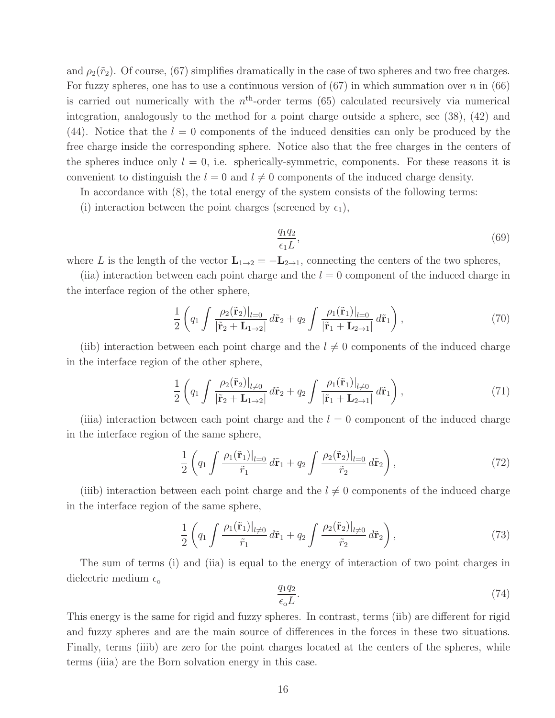and  $\rho_2(\tilde{r}_2)$ . Of course, (67) simplifies dramatically in the case of two spheres and two free charges. For fuzzy spheres, one has to use a continuous version of  $(67)$  in which summation over n in  $(66)$ is carried out numerically with the  $n<sup>th</sup>$ -order terms (65) calculated recursively via numerical integration, analogously to the method for a point charge outside a sphere, see (38), (42) and (44). Notice that the  $l = 0$  components of the induced densities can only be produced by the free charge inside the corresponding sphere. Notice also that the free charges in the centers of the spheres induce only  $l = 0$ , i.e. spherically-symmetric, components. For these reasons it is convenient to distinguish the  $l = 0$  and  $l \neq 0$  components of the induced charge density.

In accordance with (8), the total energy of the system consists of the following terms:

(i) interaction between the point charges (screened by  $\epsilon_1$ ),

$$
\frac{q_1 q_2}{\epsilon_1 L},\tag{69}
$$

where L is the length of the vector  $L_{1\rightarrow 2} = -L_{2\rightarrow 1}$ , connecting the centers of the two spheres,

(iia) interaction between each point charge and the  $l = 0$  component of the induced charge in the interface region of the other sphere,

$$
\frac{1}{2}\left(q_1\int\frac{\rho_2(\tilde{\mathbf{r}}_2)|_{l=0}}{|\tilde{\mathbf{r}}_2+\mathbf{L}_{1\to 2}|}d\tilde{\mathbf{r}}_2+q_2\int\frac{\rho_1(\tilde{\mathbf{r}}_1)|_{l=0}}{|\tilde{\mathbf{r}}_1+\mathbf{L}_{2\to 1}|}d\tilde{\mathbf{r}}_1\right),\tag{70}
$$

(iib) interaction between each point charge and the  $l \neq 0$  components of the induced charge in the interface region of the other sphere,

$$
\frac{1}{2}\left(q_1\int\frac{\rho_2(\tilde{\mathbf{r}}_2)|_{l\neq0}}{|\tilde{\mathbf{r}}_2+\mathbf{L}_{1\to 2}|}d\tilde{\mathbf{r}}_2+q_2\int\frac{\rho_1(\tilde{\mathbf{r}}_1)|_{l\neq0}}{|\tilde{\mathbf{r}}_1+\mathbf{L}_{2\to 1}|}d\tilde{\mathbf{r}}_1\right),\tag{71}
$$

(iiia) interaction between each point charge and the  $l = 0$  component of the induced charge in the interface region of the same sphere,

$$
\frac{1}{2}\left(q_1\int\frac{\rho_1(\tilde{\mathbf{r}}_1)|_{l=0}}{\tilde{r}_1}d\tilde{\mathbf{r}}_1+q_2\int\frac{\rho_2(\tilde{\mathbf{r}}_2)|_{l=0}}{\tilde{r}_2}d\tilde{\mathbf{r}}_2\right),\tag{72}
$$

(iiib) interaction between each point charge and the  $l \neq 0$  components of the induced charge in the interface region of the same sphere,

$$
\frac{1}{2}\left(q_1\int\frac{\rho_1(\tilde{\mathbf{r}}_1)|_{l\neq0}}{\tilde{r}_1}d\tilde{\mathbf{r}}_1+q_2\int\frac{\rho_2(\tilde{\mathbf{r}}_2)|_{l\neq0}}{\tilde{r}_2}d\tilde{\mathbf{r}}_2\right),\tag{73}
$$

The sum of terms (i) and (iia) is equal to the energy of interaction of two point charges in dielectric medium  $\epsilon_{\rm o}$ 

$$
\frac{q_1 q_2}{\epsilon_0 L}.\tag{74}
$$

This energy is the same for rigid and fuzzy spheres. In contrast, terms (iib) are different for rigid and fuzzy spheres and are the main source of differences in the forces in these two situations. Finally, terms (iiib) are zero for the point charges located at the centers of the spheres, while terms (iiia) are the Born solvation energy in this case.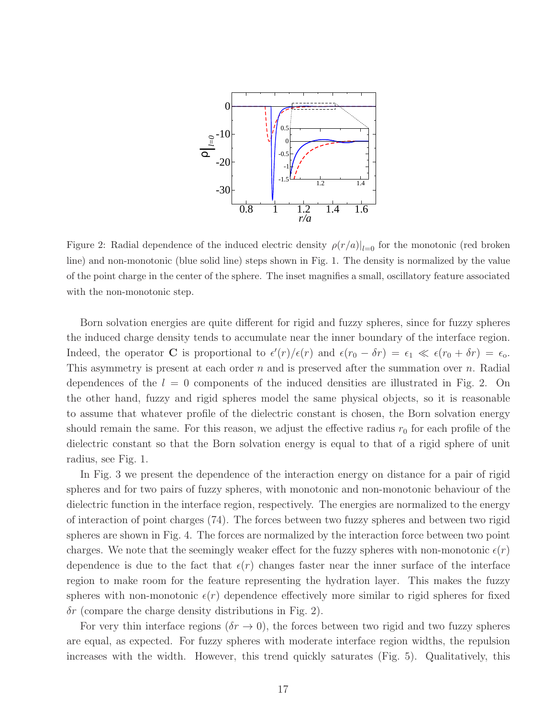

Figure 2: Radial dependence of the induced electric density  $\rho(r/a)|_{l=0}$  for the monotonic (red broken line) and non-monotonic (blue solid line) steps shown in Fig. 1. The density is normalized by the value of the point charge in the center of the sphere. The inset magnifies a small, oscillatory feature associated with the non-monotonic step.

Born solvation energies are quite different for rigid and fuzzy spheres, since for fuzzy spheres the induced charge density tends to accumulate near the inner boundary of the interface region. Indeed, the operator **C** is proportional to  $\epsilon'(r)/\epsilon(r)$  and  $\epsilon(r_0 - \delta r) = \epsilon_1 \ll \epsilon(r_0 + \delta r) = \epsilon_0$ . This asymmetry is present at each order  $n$  and is preserved after the summation over  $n$ . Radial dependences of the  $l = 0$  components of the induced densities are illustrated in Fig. 2. On the other hand, fuzzy and rigid spheres model the same physical objects, so it is reasonable to assume that whatever profile of the dielectric constant is chosen, the Born solvation energy should remain the same. For this reason, we adjust the effective radius  $r_0$  for each profile of the dielectric constant so that the Born solvation energy is equal to that of a rigid sphere of unit radius, see Fig. 1.

In Fig. 3 we present the dependence of the interaction energy on distance for a pair of rigid spheres and for two pairs of fuzzy spheres, with monotonic and non-monotonic behaviour of the dielectric function in the interface region, respectively. The energies are normalized to the energy of interaction of point charges (74). The forces between two fuzzy spheres and between two rigid spheres are shown in Fig. 4. The forces are normalized by the interaction force between two point charges. We note that the seemingly weaker effect for the fuzzy spheres with non-monotonic  $\epsilon(r)$ dependence is due to the fact that  $\epsilon(r)$  changes faster near the inner surface of the interface region to make room for the feature representing the hydration layer. This makes the fuzzy spheres with non-monotonic  $\epsilon(r)$  dependence effectively more similar to rigid spheres for fixed  $\delta r$  (compare the charge density distributions in Fig. 2).

For very thin interface regions ( $\delta r \to 0$ ), the forces between two rigid and two fuzzy spheres are equal, as expected. For fuzzy spheres with moderate interface region widths, the repulsion increases with the width. However, this trend quickly saturates (Fig. 5). Qualitatively, this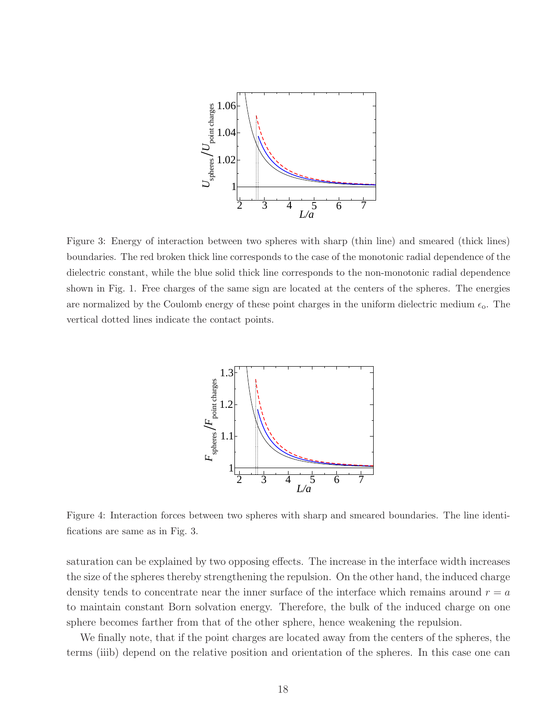

Figure 3: Energy of interaction between two spheres with sharp (thin line) and smeared (thick lines) boundaries. The red broken thick line corresponds to the case of the monotonic radial dependence of the dielectric constant, while the blue solid thick line corresponds to the non-monotonic radial dependence shown in Fig. 1. Free charges of the same sign are located at the centers of the spheres. The energies are normalized by the Coulomb energy of these point charges in the uniform dielectric medium  $\epsilon_0$ . The vertical dotted lines indicate the contact points.



Figure 4: Interaction forces between two spheres with sharp and smeared boundaries. The line identifications are same as in Fig. 3.

saturation can be explained by two opposing effects. The increase in the interface width increases the size of the spheres thereby strengthening the repulsion. On the other hand, the induced charge density tends to concentrate near the inner surface of the interface which remains around  $r = a$ to maintain constant Born solvation energy. Therefore, the bulk of the induced charge on one sphere becomes farther from that of the other sphere, hence weakening the repulsion.

We finally note, that if the point charges are located away from the centers of the spheres, the terms (iiib) depend on the relative position and orientation of the spheres. In this case one can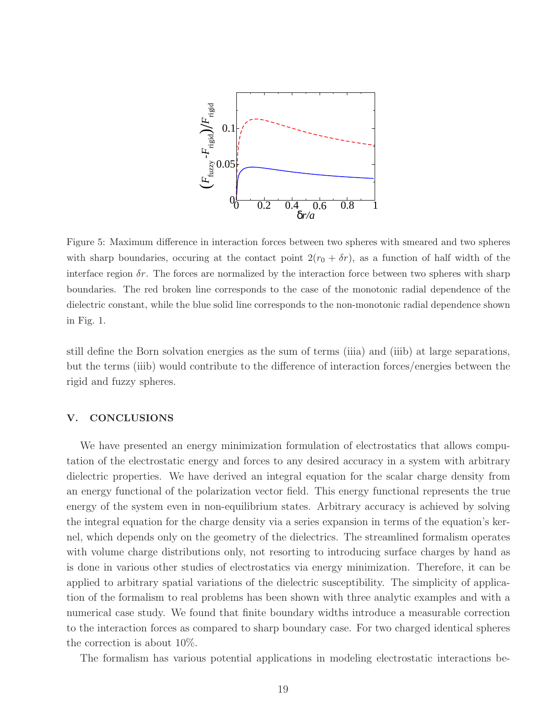

Figure 5: Maximum difference in interaction forces between two spheres with smeared and two spheres with sharp boundaries, occuring at the contact point  $2(r_0 + \delta r)$ , as a function of half width of the interface region  $\delta r$ . The forces are normalized by the interaction force between two spheres with sharp boundaries. The red broken line corresponds to the case of the monotonic radial dependence of the dielectric constant, while the blue solid line corresponds to the non-monotonic radial dependence shown in Fig. 1.

still define the Born solvation energies as the sum of terms (iiia) and (iiib) at large separations, but the terms (iiib) would contribute to the difference of interaction forces/energies between the rigid and fuzzy spheres.

## V. CONCLUSIONS

We have presented an energy minimization formulation of electrostatics that allows computation of the electrostatic energy and forces to any desired accuracy in a system with arbitrary dielectric properties. We have derived an integral equation for the scalar charge density from an energy functional of the polarization vector field. This energy functional represents the true energy of the system even in non-equilibrium states. Arbitrary accuracy is achieved by solving the integral equation for the charge density via a series expansion in terms of the equation's kernel, which depends only on the geometry of the dielectrics. The streamlined formalism operates with volume charge distributions only, not resorting to introducing surface charges by hand as is done in various other studies of electrostatics via energy minimization. Therefore, it can be applied to arbitrary spatial variations of the dielectric susceptibility. The simplicity of application of the formalism to real problems has been shown with three analytic examples and with a numerical case study. We found that finite boundary widths introduce a measurable correction to the interaction forces as compared to sharp boundary case. For two charged identical spheres the correction is about 10%.

The formalism has various potential applications in modeling electrostatic interactions be-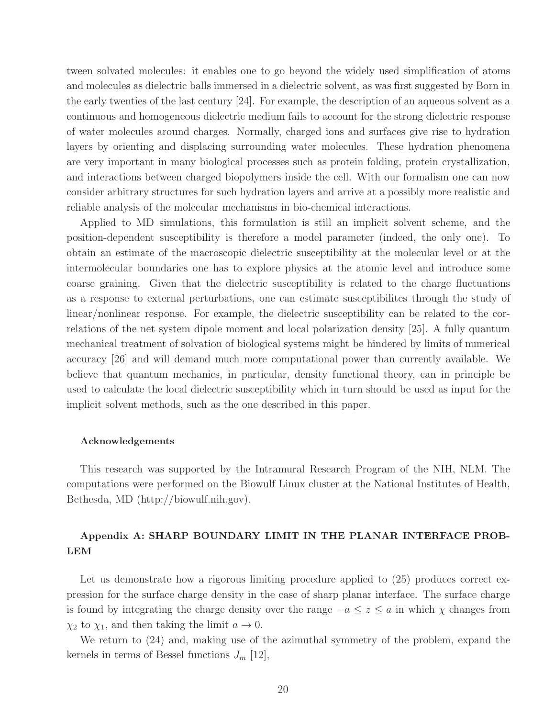tween solvated molecules: it enables one to go beyond the widely used simplification of atoms and molecules as dielectric balls immersed in a dielectric solvent, as was first suggested by Born in the early twenties of the last century [24]. For example, the description of an aqueous solvent as a continuous and homogeneous dielectric medium fails to account for the strong dielectric response of water molecules around charges. Normally, charged ions and surfaces give rise to hydration layers by orienting and displacing surrounding water molecules. These hydration phenomena are very important in many biological processes such as protein folding, protein crystallization, and interactions between charged biopolymers inside the cell. With our formalism one can now consider arbitrary structures for such hydration layers and arrive at a possibly more realistic and reliable analysis of the molecular mechanisms in bio-chemical interactions.

Applied to MD simulations, this formulation is still an implicit solvent scheme, and the position-dependent susceptibility is therefore a model parameter (indeed, the only one). To obtain an estimate of the macroscopic dielectric susceptibility at the molecular level or at the intermolecular boundaries one has to explore physics at the atomic level and introduce some coarse graining. Given that the dielectric susceptibility is related to the charge fluctuations as a response to external perturbations, one can estimate susceptibilites through the study of linear/nonlinear response. For example, the dielectric susceptibility can be related to the correlations of the net system dipole moment and local polarization density [25]. A fully quantum mechanical treatment of solvation of biological systems might be hindered by limits of numerical accuracy [26] and will demand much more computational power than currently available. We believe that quantum mechanics, in particular, density functional theory, can in principle be used to calculate the local dielectric susceptibility which in turn should be used as input for the implicit solvent methods, such as the one described in this paper.

#### Acknowledgements

This research was supported by the Intramural Research Program of the NIH, NLM. The computations were performed on the Biowulf Linux cluster at the National Institutes of Health, Bethesda, MD (http://biowulf.nih.gov).

# Appendix A: SHARP BOUNDARY LIMIT IN THE PLANAR INTERFACE PROB-LEM

Let us demonstrate how a rigorous limiting procedure applied to  $(25)$  produces correct expression for the surface charge density in the case of sharp planar interface. The surface charge is found by integrating the charge density over the range  $-a \leq z \leq a$  in which  $\chi$  changes from  $\chi_2$  to  $\chi_1$ , and then taking the limit  $a \to 0$ .

We return to (24) and, making use of the azimuthal symmetry of the problem, expand the kernels in terms of Bessel functions  $J_m$  [12],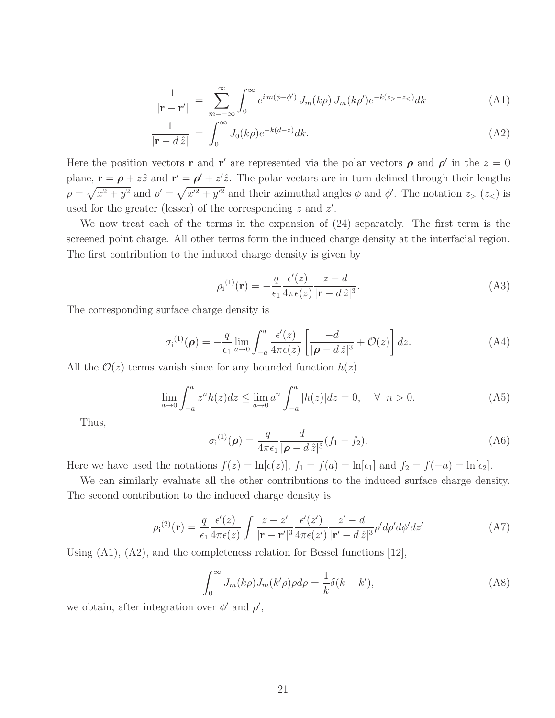$$
\frac{1}{|\mathbf{r} - \mathbf{r}'|} = \sum_{m=-\infty}^{\infty} \int_0^{\infty} e^{im(\phi - \phi')} J_m(k\rho) J_m(k\rho') e^{-k(z_>-z_<)} dk \tag{A1}
$$

$$
\frac{1}{|\mathbf{r} - d\,\hat{z}|} = \int_0^\infty J_0(k\rho)e^{-k(d-z)}dk.
$$
\n(A2)

Here the position vectors **r** and **r'** are represented via the polar vectors  $\rho$  and  $\rho'$  in the  $z = 0$ plane,  $\mathbf{r} = \boldsymbol{\rho} + z\hat{z}$  and  $\mathbf{r}' = \boldsymbol{\rho}' + z'\hat{z}$ . The polar vectors are in turn defined through their lengths  $\rho = \sqrt{x^2 + y^2}$  and  $\rho' = \sqrt{x'^2 + y'^2}$  and their azimuthal angles  $\phi$  and  $\phi'$ . The notation  $z_>(z_<)$  is used for the greater (lesser) of the corresponding  $z$  and  $z'$ .

We now treat each of the terms in the expansion of (24) separately. The first term is the screened point charge. All other terms form the induced charge density at the interfacial region. The first contribution to the induced charge density is given by

$$
\rho_{i}^{(1)}(\mathbf{r}) = -\frac{q}{\epsilon_{1}} \frac{\epsilon'(z)}{4\pi\epsilon(z)} \frac{z - d}{|\mathbf{r} - d\,\hat{z}|^{3}}.
$$
\n(A3)

The corresponding surface charge density is

$$
\sigma_{\mathbf{i}}^{(1)}(\boldsymbol{\rho}) = -\frac{q}{\epsilon_1} \lim_{a \to 0} \int_{-a}^{a} \frac{\epsilon'(z)}{4\pi\epsilon(z)} \left[ \frac{-d}{|\boldsymbol{\rho} - d\,\hat{z}|^3} + \mathcal{O}(z) \right] dz. \tag{A4}
$$

All the  $\mathcal{O}(z)$  terms vanish since for any bounded function  $h(z)$ 

$$
\lim_{a \to 0} \int_{-a}^{a} z^n h(z) dz \le \lim_{a \to 0} a^n \int_{-a}^{a} |h(z)| dz = 0, \quad \forall \ n > 0.
$$
 (A5)

Thus,

$$
\sigma_{\rm i}^{(1)}(\rho) = \frac{q}{4\pi\epsilon_1} \frac{d}{|\rho - d\,\hat{z}|^3} (f_1 - f_2). \tag{A6}
$$

Here we have used the notations  $f(z) = \ln[\epsilon(z)]$ ,  $f_1 = f(a) = \ln[\epsilon_1]$  and  $f_2 = f(-a) = \ln[\epsilon_2]$ .

We can similarly evaluate all the other contributions to the induced surface charge density. The second contribution to the induced charge density is

$$
\rho_{\rm i}^{(2)}(\mathbf{r}) = \frac{q}{\epsilon_1} \frac{\epsilon'(z)}{4\pi\epsilon(z)} \int \frac{z - z'}{|\mathbf{r} - \mathbf{r}'|^3} \frac{\epsilon'(z')}{4\pi\epsilon(z')} \frac{z' - d}{|\mathbf{r}' - d\,\hat{z}|^3} \rho' d\rho' d\phi' dz' \tag{A7}
$$

Using (A1), (A2), and the completeness relation for Bessel functions [12],

$$
\int_0^\infty J_m(k\rho)J_m(k'\rho)\rho d\rho = \frac{1}{k}\delta(k - k'),\tag{A8}
$$

we obtain, after integration over  $\phi'$  and  $\rho'$ ,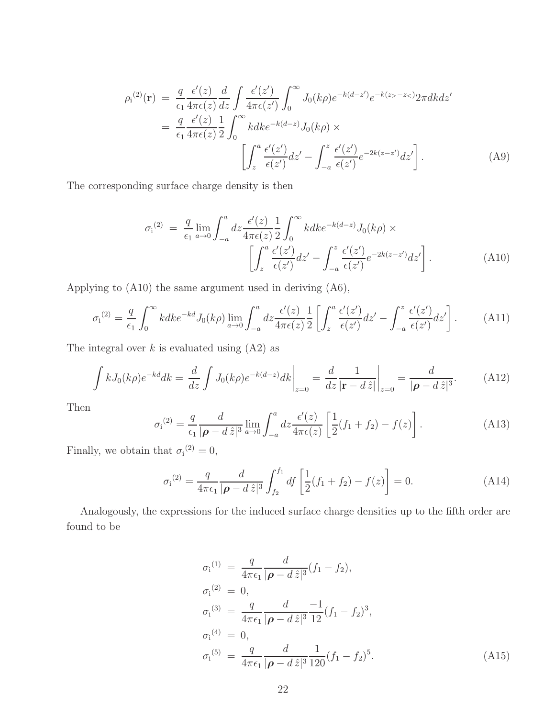$$
\rho_{i}^{(2)}(\mathbf{r}) = \frac{q}{\epsilon_{1}} \frac{\epsilon'(z)}{4\pi\epsilon(z)} \frac{d}{dz} \int \frac{\epsilon'(z')}{4\pi\epsilon(z')} \int_{0}^{\infty} J_{0}(k\rho) e^{-k(d-z')} e^{-k(z-z')} 2\pi dk dz'
$$
  
\n
$$
= \frac{q}{\epsilon_{1}} \frac{\epsilon'(z)}{4\pi\epsilon(z)} \frac{1}{2} \int_{0}^{\infty} k dk e^{-k(d-z)} J_{0}(k\rho) \times
$$
  
\n
$$
\left[ \int_{z}^{a} \frac{\epsilon'(z')}{\epsilon(z')} dz' - \int_{-a}^{z} \frac{\epsilon'(z')}{\epsilon(z')} e^{-2k(z-z')} dz' \right].
$$
 (A9)

The corresponding surface charge density is then

$$
\sigma_{\mathbf{i}}^{(2)} = \frac{q}{\epsilon_1} \lim_{a \to 0} \int_{-a}^{a} dz \frac{\epsilon'(z)}{4\pi\epsilon(z)} \frac{1}{2} \int_{0}^{\infty} k dk e^{-k(d-z)} J_0(k\rho) \times \left[ \int_{z}^{a} \frac{\epsilon'(z')}{\epsilon(z')} dz' - \int_{-a}^{z} \frac{\epsilon'(z')}{\epsilon(z')} e^{-2k(z-z')} dz' \right]. \tag{A10}
$$

Applying to (A10) the same argument used in deriving (A6),

$$
\sigma_{\mathbf{i}}^{(2)} = \frac{q}{\epsilon_1} \int_0^\infty k dk e^{-kd} J_0(k\rho) \lim_{a \to 0} \int_{-a}^a dz \frac{\epsilon'(z)}{4\pi\epsilon(z)} \frac{1}{2} \left[ \int_z^a \frac{\epsilon'(z')}{\epsilon(z')} dz' - \int_{-a}^z \frac{\epsilon'(z')}{\epsilon(z')} dz' \right]. \tag{A11}
$$

The integral over  $k$  is evaluated using  $(A2)$  as

$$
\int kJ_0(k\rho)e^{-kd}dk = \frac{d}{dz}\int J_0(k\rho)e^{-k(d-z)}dk\bigg|_{z=0} = \frac{d}{dz}\frac{1}{|\mathbf{r} - d\,\hat{z}|}\bigg|_{z=0} = \frac{d}{|\boldsymbol{\rho} - d\,\hat{z}|^3}.
$$
 (A12)

Then

$$
\sigma_{\rm i}^{(2)} = \frac{q}{\epsilon_1} \frac{d}{|\boldsymbol{\rho} - d\,\hat{z}|^3} \lim_{a \to 0} \int_{-a}^{a} dz \frac{\epsilon'(z)}{4\pi\epsilon(z)} \left[ \frac{1}{2} (f_1 + f_2) - f(z) \right]. \tag{A13}
$$

Finally, we obtain that  $\sigma_i^{(2)} = 0$ ,

$$
\sigma_{\mathbf{i}}^{(2)} = \frac{q}{4\pi\epsilon_1} \frac{d}{|\boldsymbol{\rho} - d\,\hat{z}|^3} \int_{f_2}^{f_1} df \left[ \frac{1}{2} (f_1 + f_2) - f(z) \right] = 0. \tag{A14}
$$

Analogously, the expressions for the induced surface charge densities up to the fifth order are found to be

$$
\sigma_i^{(1)} = \frac{q}{4\pi\epsilon_1} \frac{d}{|\boldsymbol{\rho} - d\,\hat{z}|^3} (f_1 - f_2),
$$
  
\n
$$
\sigma_i^{(2)} = 0,
$$
  
\n
$$
\sigma_i^{(3)} = \frac{q}{4\pi\epsilon_1} \frac{d}{|\boldsymbol{\rho} - d\,\hat{z}|^3} \frac{-1}{12} (f_1 - f_2)^3,
$$
  
\n
$$
\sigma_i^{(4)} = 0,
$$
  
\n
$$
\sigma_i^{(5)} = \frac{q}{4\pi\epsilon_1} \frac{d}{|\boldsymbol{\rho} - d\,\hat{z}|^3} \frac{1}{120} (f_1 - f_2)^5.
$$
\n(A15)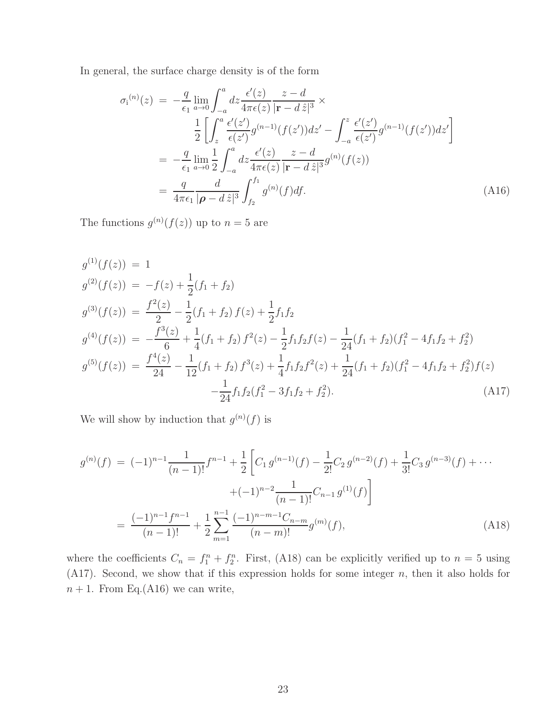In general, the surface charge density is of the form

$$
\sigma_{i}^{(n)}(z) = -\frac{q}{\epsilon_{1}} \lim_{a \to 0} \int_{-a}^{a} dz \frac{\epsilon'(z)}{4\pi\epsilon(z)} \frac{z - d}{|\mathbf{r} - d\,\hat{z}|^{3}} \times \n\frac{1}{2} \left[ \int_{z}^{a} \frac{\epsilon'(z')}{\epsilon(z')} g^{(n-1)}(f(z')) dz' - \int_{-a}^{z} \frac{\epsilon'(z')}{\epsilon(z')} g^{(n-1)}(f(z')) dz' \right] \n= -\frac{q}{\epsilon_{1}} \lim_{a \to 0} \frac{1}{2} \int_{-a}^{a} dz \frac{\epsilon'(z)}{4\pi\epsilon(z)} \frac{z - d}{|\mathbf{r} - d\,\hat{z}|^{3}} g^{(n)}(f(z)) \n= \frac{q}{4\pi\epsilon_{1}} \frac{d}{|\boldsymbol{\rho} - d\,\hat{z}|^{3}} \int_{f_{2}}^{f_{1}} g^{(n)}(f) df.
$$
\n(A16)

The functions  $g^{(n)}(f(z))$  up to  $n=5$  are

$$
g^{(1)}(f(z)) = 1
$$
  
\n
$$
g^{(2)}(f(z)) = -f(z) + \frac{1}{2}(f_1 + f_2)
$$
  
\n
$$
g^{(3)}(f(z)) = \frac{f^2(z)}{2} - \frac{1}{2}(f_1 + f_2) f(z) + \frac{1}{2}f_1f_2
$$
  
\n
$$
g^{(4)}(f(z)) = -\frac{f^3(z)}{6} + \frac{1}{4}(f_1 + f_2) f^2(z) - \frac{1}{2}f_1f_2f(z) - \frac{1}{24}(f_1 + f_2)(f_1^2 - 4f_1f_2 + f_2^2)
$$
  
\n
$$
g^{(5)}(f(z)) = \frac{f^4(z)}{24} - \frac{1}{12}(f_1 + f_2) f^3(z) + \frac{1}{4}f_1f_2f^2(z) + \frac{1}{24}(f_1 + f_2)(f_1^2 - 4f_1f_2 + f_2^2) f(z) - \frac{1}{24}f_1f_2(f_1^2 - 3f_1f_2 + f_2^2).
$$
\n(A17)

We will show by induction that  $g^{(n)}(f)$  is

$$
g^{(n)}(f) = (-1)^{n-1} \frac{1}{(n-1)!} f^{n-1} + \frac{1}{2} \left[ C_1 g^{(n-1)}(f) - \frac{1}{2!} C_2 g^{(n-2)}(f) + \frac{1}{3!} C_3 g^{(n-3)}(f) + \cdots + (-1)^{n-2} \frac{1}{(n-1)!} C_{n-1} g^{(1)}(f) \right]
$$
  
= 
$$
\frac{(-1)^{n-1} f^{n-1}}{(n-1)!} + \frac{1}{2} \sum_{m=1}^{n-1} \frac{(-1)^{n-m-1} C_{n-m}}{(n-m)!} g^{(m)}(f),
$$
 (A18)

where the coefficients  $C_n = f_1^n + f_2^n$ . First, (A18) can be explicitly verified up to  $n = 5$  using  $(A17)$ . Second, we show that if this expression holds for some integer n, then it also holds for  $n + 1$ . From Eq.(A16) we can write,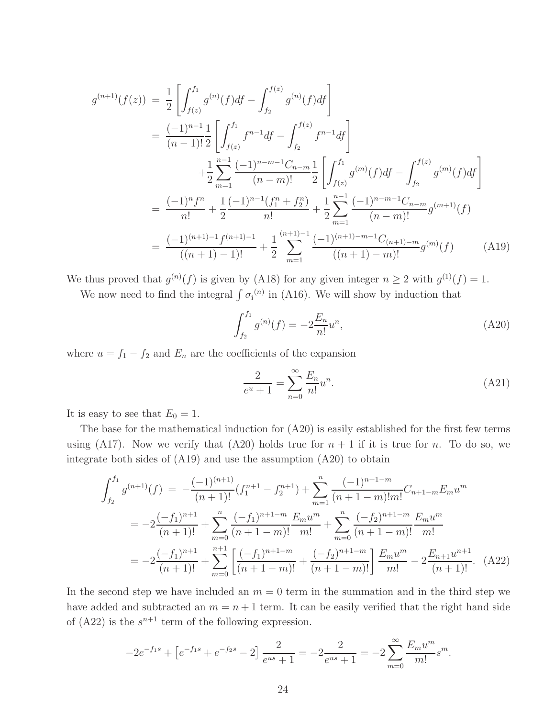$$
g^{(n+1)}(f(z)) = \frac{1}{2} \left[ \int_{f(z)}^{f_1} g^{(n)}(f) df - \int_{f_2}^{f(z)} g^{(n)}(f) df \right]
$$
  
\n
$$
= \frac{(-1)^{n-1}}{(n-1)!} \frac{1}{2} \left[ \int_{f(z)}^{f_1} f^{n-1} df - \int_{f_2}^{f(z)} f^{n-1} df \right]
$$
  
\n
$$
+ \frac{1}{2} \sum_{m=1}^{n-1} \frac{(-1)^{n-m-1} C_{n-m}}{(n-m)!} \frac{1}{2} \left[ \int_{f(z)}^{f_1} g^{(m)}(f) df - \int_{f_2}^{f(z)} g^{(m)}(f) df \right]
$$
  
\n
$$
= \frac{(-1)^n f^n}{n!} + \frac{1}{2} \frac{(-1)^{n-1} (f_1^n + f_2^n)}{n!} + \frac{1}{2} \sum_{m=1}^{n-1} \frac{(-1)^{n-m-1} C_{n-m}}{(n-m)!} g^{(m+1)}(f)
$$
  
\n
$$
= \frac{(-1)^{(n+1)-1} f^{(n+1)-1}}{((n+1)-1)!} + \frac{1}{2} \sum_{m=1}^{(n+1)-1} \frac{(-1)^{(n+1)-m-1} C_{(n+1)-m}}{((n+1)-m)!} g^{(m)}(f) \qquad (A19)
$$

We thus proved that  $g^{(n)}(f)$  is given by (A18) for any given integer  $n \ge 2$  with  $g^{(1)}(f) = 1$ .

We now need to find the integral  $\int \sigma_i^{(n)}$  in (A16). We will show by induction that

$$
\int_{f_2}^{f_1} g^{(n)}(f) = -2 \frac{E_n}{n!} u^n,
$$
\n(A20)

where  $u = f_1 - f_2$  and  $E_n$  are the coefficients of the expansion

$$
\frac{2}{e^u + 1} = \sum_{n=0}^{\infty} \frac{E_n}{n!} u^n.
$$
 (A21)

It is easy to see that  $E_0 = 1$ .

The base for the mathematical induction for (A20) is easily established for the first few terms using (A17). Now we verify that (A20) holds true for  $n + 1$  if it is true for n. To do so, we integrate both sides of (A19) and use the assumption (A20) to obtain

$$
\int_{f_2}^{f_1} g^{(n+1)}(f) = -\frac{(-1)^{(n+1)}}{(n+1)!} (f_1^{n+1} - f_2^{n+1}) + \sum_{m=1}^n \frac{(-1)^{n+1-m}}{(n+1-m)!m!} C_{n+1-m} E_m u^m
$$
  

$$
= -2 \frac{(-f_1)^{n+1}}{(n+1)!} + \sum_{m=0}^n \frac{(-f_1)^{n+1-m}}{(n+1-m)!} \frac{E_m u^m}{m!} + \sum_{m=0}^n \frac{(-f_2)^{n+1-m}}{(n+1-m)!} \frac{E_m u^m}{m!}
$$
  

$$
= -2 \frac{(-f_1)^{n+1}}{(n+1)!} + \sum_{m=0}^{n+1} \left[ \frac{(-f_1)^{n+1-m}}{(n+1-m)!} + \frac{(-f_2)^{n+1-m}}{(n+1-m)!} \right] \frac{E_m u^m}{m!} - 2 \frac{E_{n+1} u^{n+1}}{(n+1)!}.
$$
 (A22)

In the second step we have included an  $m = 0$  term in the summation and in the third step we have added and subtracted an  $m = n + 1$  term. It can be easily verified that the right hand side of  $(A22)$  is the  $s^{n+1}$  term of the following expression.

$$
-2e^{-f_1s} + \left[e^{-f_1s} + e^{-f_2s} - 2\right] \frac{2}{e^{us} + 1} = -2\frac{2}{e^{us} + 1} = -2\sum_{m=0}^{\infty} \frac{E_m u^m}{m!} s^m.
$$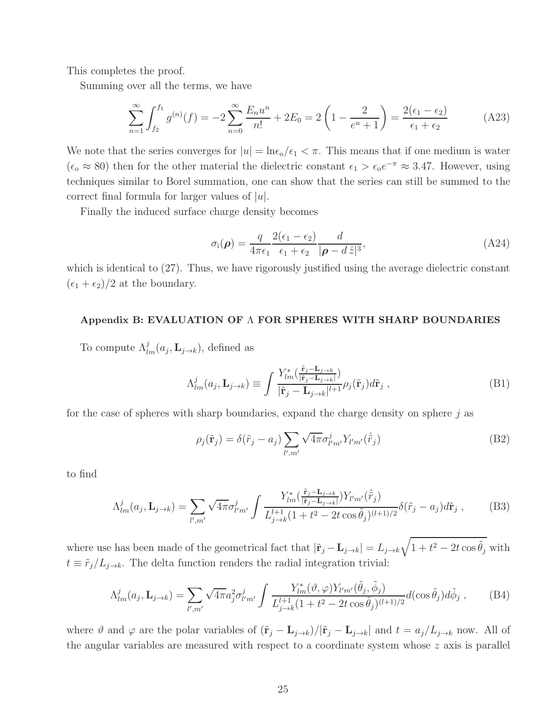This completes the proof.

Summing over all the terms, we have

$$
\sum_{n=1}^{\infty} \int_{f_2}^{f_1} g^{(n)}(f) = -2 \sum_{n=0}^{\infty} \frac{E_n u^n}{n!} + 2E_0 = 2 \left( 1 - \frac{2}{e^u + 1} \right) = \frac{2(\epsilon_1 - \epsilon_2)}{\epsilon_1 + \epsilon_2}
$$
(A23)

We note that the series converges for  $|u| = \ln \epsilon_0 / \epsilon_1 < \pi$ . This means that if one medium is water  $(\epsilon_{\rm o} \approx 80)$  then for the other material the dielectric constant  $\epsilon_1 > \epsilon_{\rm o} e^{-\pi} \approx 3.47$ . However, using techniques similar to Borel summation, one can show that the series can still be summed to the correct final formula for larger values of  $|u|$ .

Finally the induced surface charge density becomes

$$
\sigma_{\rm i}(\boldsymbol{\rho}) = \frac{q}{4\pi\epsilon_1} \frac{2(\epsilon_1 - \epsilon_2)}{\epsilon_1 + \epsilon_2} \frac{d}{|\boldsymbol{\rho} - d\,\hat{z}|^3},\tag{A24}
$$

which is identical to  $(27)$ . Thus, we have rigorously justified using the average dielectric constant  $(\epsilon_1 + \epsilon_2)/2$  at the boundary.

## Appendix B: EVALUATION OF Λ FOR SPHERES WITH SHARP BOUNDARIES

To compute  $\Lambda^j_{lm}(a_j, \mathbf{L}_{j \to k}),$  defined as

$$
\Lambda_{lm}^j(a_j, \mathbf{L}_{j \to k}) \equiv \int \frac{Y_{lm}^*(\frac{\tilde{\mathbf{r}}_j - \mathbf{L}_{j \to k}}{|\tilde{\mathbf{r}}_j - \mathbf{L}_{j \to k}|^l} \rho_j(\tilde{\mathbf{r}}_j) d\tilde{\mathbf{r}}_j ,
$$
\n(B1)

for the case of spheres with sharp boundaries, expand the charge density on sphere  $j$  as

$$
\rho_j(\tilde{\mathbf{r}}_j) = \delta(\tilde{r}_j - a_j) \sum_{l',m'} \sqrt{4\pi} \sigma_{l'm'}^j Y_{l'm'}(\hat{\tilde{r}}_j)
$$
(B2)

to find

$$
\Lambda_{lm}^{j}(a_j, \mathbf{L}_{j \to k}) = \sum_{l',m'} \sqrt{4\pi} \sigma_{l'm'}^{j} \int \frac{Y_{lm}^{*}(\frac{\tilde{\mathbf{r}}_j - \mathbf{L}_{j \to k}}{|\tilde{\mathbf{r}}_j - \mathbf{L}_{j \to k}|}) Y_{l'm'}(\hat{r}_j)}{\mathcal{L}_{j \to k}^{l+1}(1 + t^2 - 2t \cos \tilde{\theta}_j)^{(l+1)/2}} \delta(\tilde{r}_j - a_j) d\tilde{\mathbf{r}}_j ,\qquad (B3)
$$

where use has been made of the geometrical fact that  $|\tilde{\mathbf{r}}_j - \mathbf{L}_{j \to k}| = L_{j \to k} \sqrt{1 + t^2 - 2t \cos \tilde{\theta}_j}$  with  $t \equiv \tilde{r}_j/L_{j\to k}$ . The delta function renders the radial integration trivial:

$$
\Lambda_{lm}^j(a_j, \mathbf{L}_{j \to k}) = \sum_{l',m'} \sqrt{4\pi} a_j^2 \sigma_{l'm'}^j \int \frac{Y_{lm}^*(\vartheta, \varphi) Y_{l'm'}(\tilde{\theta}_j, \tilde{\phi}_j)}{L_{j \to k}^{l+1}(1 + t^2 - 2t \cos \tilde{\theta}_j)^{(l+1)/2}} d(\cos \tilde{\theta}_j) d\tilde{\phi}_j ,\qquad(B4)
$$

where  $\vartheta$  and  $\varphi$  are the polar variables of  $(\tilde{\mathbf{r}}_j - \mathbf{L}_{j\to k})/|\tilde{\mathbf{r}}_j - \mathbf{L}_{j\to k}|$  and  $t = a_j/L_{j\to k}$  now. All of the angular variables are measured with respect to a coordinate system whose  $z$  axis is parallel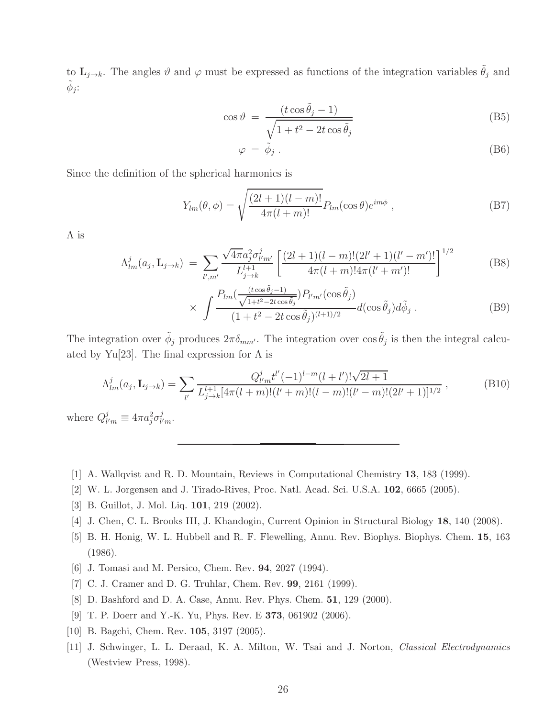to  $\mathbf{L}_{j\to k}$ . The angles  $\vartheta$  and  $\varphi$  must be expressed as functions of the integration variables  $\tilde{\theta}_j$  and  $\tilde{\phi}_j$ :

$$
\cos \vartheta = \frac{(t \cos \tilde{\theta}_j - 1)}{\sqrt{1 + t^2 - 2t \cos \tilde{\theta}_j}}
$$
(B5)

$$
\varphi = \tilde{\phi}_j \,. \tag{B6}
$$

Since the definition of the spherical harmonics is

$$
Y_{lm}(\theta,\phi) = \sqrt{\frac{(2l+1)(l-m)!}{4\pi(l+m)!}} P_{lm}(\cos\theta)e^{im\phi},
$$
 (B7)

Λ is

$$
\Lambda_{lm}^{j}(a_j, \mathbf{L}_{j \to k}) = \sum_{l',m'} \frac{\sqrt{4\pi} a_j^2 \sigma_{l'm'}^{j}}{L_{j \to k}^{l+1}} \left[ \frac{(2l+1)(l-m)!(2l'+1)(l'-m')!}{4\pi(l+m)!4\pi(l'+m')!} \right]^{1/2}
$$
(B8)

$$
\times \int \frac{P_{lm}(\frac{(t \cos \tilde{\theta}_j - 1)}{\sqrt{1 + t^2 - 2t \cos \tilde{\theta}_j}}) P_{l'm'}(\cos \tilde{\theta}_j)}{(1 + t^2 - 2t \cos \tilde{\theta}_j)^{(l+1)/2}} d(\cos \tilde{\theta}_j) d\tilde{\phi}_j.
$$
 (B9)

The integration over  $\tilde{\phi}_j$  produces  $2\pi\delta_{mm'}$ . The integration over  $\cos \tilde{\theta}_j$  is then the integral calcuated by Yu[23]. The final expression for  $\Lambda$  is

$$
\Lambda_{lm}^j(a_j, \mathbf{L}_{j \to k}) = \sum_{l'} \frac{Q_{l'm}^j t^{l'} (-1)^{l-m} (l+l')! \sqrt{2l+1}}{L_{j \to k}^{l+1} [4\pi (l+m)! (l'+m)! (l-m)! (l'-m)! (2l'+1)]^{1/2}},
$$
\n(B10)

where  $Q_l^j$  $\frac{j}{l'm} \equiv 4\pi a_j^2 \sigma_{l'}^j$  $^j_{l'm}\cdot$ 

- [1] A. Wallqvist and R. D. Mountain, Reviews in Computational Chemistry 13, 183 (1999).
- [2] W. L. Jorgensen and J. Tirado-Rives, Proc. Natl. Acad. Sci. U.S.A. 102, 6665 (2005).
- [3] B. Guillot, J. Mol. Liq. 101, 219 (2002).
- [4] J. Chen, C. L. Brooks III, J. Khandogin, Current Opinion in Structural Biology 18, 140 (2008).
- [5] B. H. Honig, W. L. Hubbell and R. F. Flewelling, Annu. Rev. Biophys. Biophys. Chem. 15, 163 (1986).
- [6] J. Tomasi and M. Persico, Chem. Rev. 94, 2027 (1994).
- [7] C. J. Cramer and D. G. Truhlar, Chem. Rev. 99, 2161 (1999).
- [8] D. Bashford and D. A. Case, Annu. Rev. Phys. Chem. 51, 129 (2000).
- [9] T. P. Doerr and Y.-K. Yu, Phys. Rev. E 373, 061902 (2006).
- [10] B. Bagchi, Chem. Rev. 105, 3197 (2005).
- [11] J. Schwinger, L. L. Deraad, K. A. Milton, W. Tsai and J. Norton, Classical Electrodynamics (Westview Press, 1998).